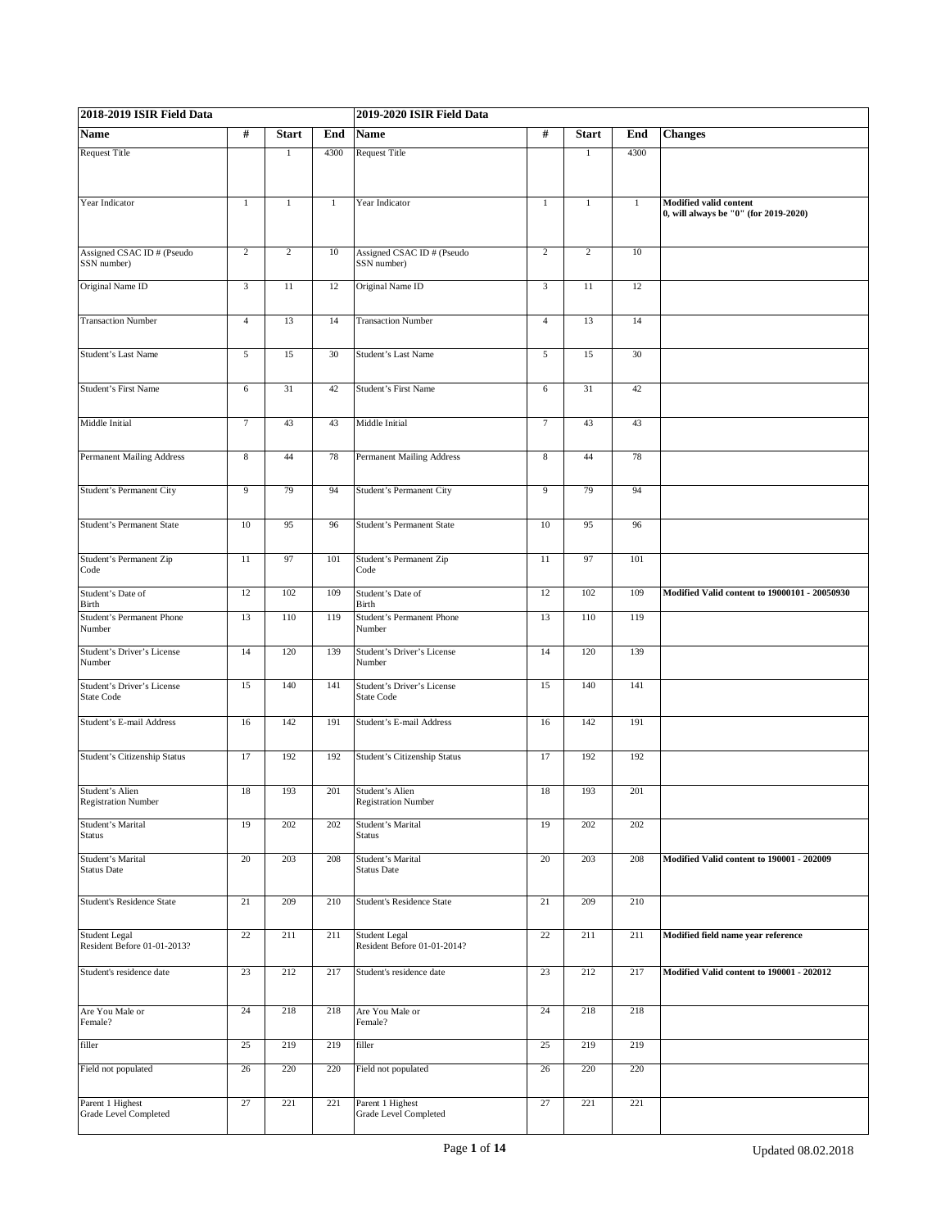| 2018-2019 ISIR Field Data                       |                |                |              | 2019-2020 ISIR Field Data                        |                  |                |              |                                                                        |
|-------------------------------------------------|----------------|----------------|--------------|--------------------------------------------------|------------------|----------------|--------------|------------------------------------------------------------------------|
| <b>Name</b>                                     | #              | <b>Start</b>   | End          | <b>Name</b>                                      | #                | <b>Start</b>   | End          | <b>Changes</b>                                                         |
| <b>Request Title</b>                            |                | $\mathbf{1}$   | 4300         | <b>Request Title</b>                             |                  | $\mathbf{1}$   | 4300         |                                                                        |
| Year Indicator                                  | $\mathbf{1}$   | $\mathbf{1}$   | $\mathbf{1}$ | Year Indicator                                   | $\mathbf{1}$     | $\mathbf{1}$   | $\mathbf{1}$ | <b>Modified valid content</b><br>0, will always be "0" (for 2019-2020) |
| Assigned CSAC ID # (Pseudo<br>SSN number)       | $\overline{c}$ | $\overline{c}$ | 10           | Assigned CSAC ID # (Pseudo<br>SSN number)        | $\overline{2}$   | $\overline{2}$ | 10           |                                                                        |
| Original Name ID                                | $\overline{3}$ | 11             | 12           | Original Name ID                                 | $\mathfrak{Z}$   | 11             | 12           |                                                                        |
| <b>Transaction Number</b>                       | $\overline{4}$ | 13             | 14           | <b>Transaction Number</b>                        | $\overline{4}$   | 13             | 14           |                                                                        |
| Student's Last Name                             | 5              | 15             | 30           | Student's Last Name                              | 5                | 15             | 30           |                                                                        |
| <b>Student's First Name</b>                     | 6              | 31             | 42           | <b>Student's First Name</b>                      | 6                | 31             | 42           |                                                                        |
| Middle Initial                                  | $\overline{7}$ | 43             | 43           | Middle Initial                                   | $\overline{7}$   | 43             | 43           |                                                                        |
| Permanent Mailing Address                       | 8              | 44             | 78           | Permanent Mailing Address                        | $\boldsymbol{8}$ | 44             | 78           |                                                                        |
| Student's Permanent City                        | 9              | 79             | 94           | <b>Student's Permanent City</b>                  | 9                | 79             | 94           |                                                                        |
| <b>Student's Permanent State</b>                | 10             | 95             | 96           | <b>Student's Permanent State</b>                 | 10               | 95             | 96           |                                                                        |
| Student's Permanent Zip<br>Code                 | 11             | 97             | 101          | Student's Permanent Zip<br>Code                  | 11               | 97             | 101          |                                                                        |
| Student's Date of<br>Birth                      | 12             | 102            | 109          | Student's Date of<br>Birth                       | 12               | 102            | 109          | Modified Valid content to 19000101 - 20050930                          |
| Student's Permanent Phone<br>Number             | 13             | 110            | 119          | Student's Permanent Phone<br>Number              | 13               | 110            | 119          |                                                                        |
| Student's Driver's License<br>Number            | 14             | 120            | 139          | Student's Driver's License<br>Number             | 14               | 120            | 139          |                                                                        |
| Student's Driver's License<br><b>State Code</b> | 15             | 140            | 141          | Student's Driver's License<br><b>State Code</b>  | 15               | 140            | 141          |                                                                        |
| Student's E-mail Address                        | 16             | 142            | 191          | Student's E-mail Address                         | 16               | 142            | 191          |                                                                        |
| Student's Citizenship Status                    | 17             | 192            | 192          | Student's Citizenship Status                     | 17               | 192            | 192          |                                                                        |
| Student's Alien<br>Registration Number          | 18             | 193            | 201          | Student's Alien<br>Registration Number           | 18               | 193            | 201          |                                                                        |
| Student's Marital<br><b>Status</b>              | 19             | 202            | 202          | Student's Marital<br>Status                      | 19               | 202            | 202          |                                                                        |
| Student's Marital<br><b>Status Date</b>         | $20\,$         | 203            | 208          | Student's Marital<br><b>Status Date</b>          | $20\,$           | 203            | 208          | Modified Valid content to 190001 - 202009                              |
| <b>Student's Residence State</b>                | 21             | 209            | 210          | <b>Student's Residence State</b>                 | $21\,$           | 209            | 210          |                                                                        |
| Student Legal<br>Resident Before 01-01-2013?    | 22             | 211            | 211          | Student Legal<br>Resident Before 01-01-2014?     | 22               | 211            | 211          | Modified field name year reference                                     |
| Student's residence date                        | 23             | 212            | 217          | Student's residence date                         | 23               | 212            | 217          | Modified Valid content to 190001 - 202012                              |
| Are You Male or<br>Female?                      | 24             | 218            | 218          | Are You Male or<br>Female?                       | 24               | 218            | 218          |                                                                        |
| filler                                          | 25             | 219            | 219          | filler                                           | 25               | 219            | 219          |                                                                        |
| Field not populated                             | 26             | 220            | 220          | Field not populated                              | 26               | 220            | 220          |                                                                        |
| Parent 1 Highest<br>Grade Level Completed       | 27             | 221            | 221          | Parent 1 Highest<br><b>Grade Level Completed</b> | 27               | 221            | 221          |                                                                        |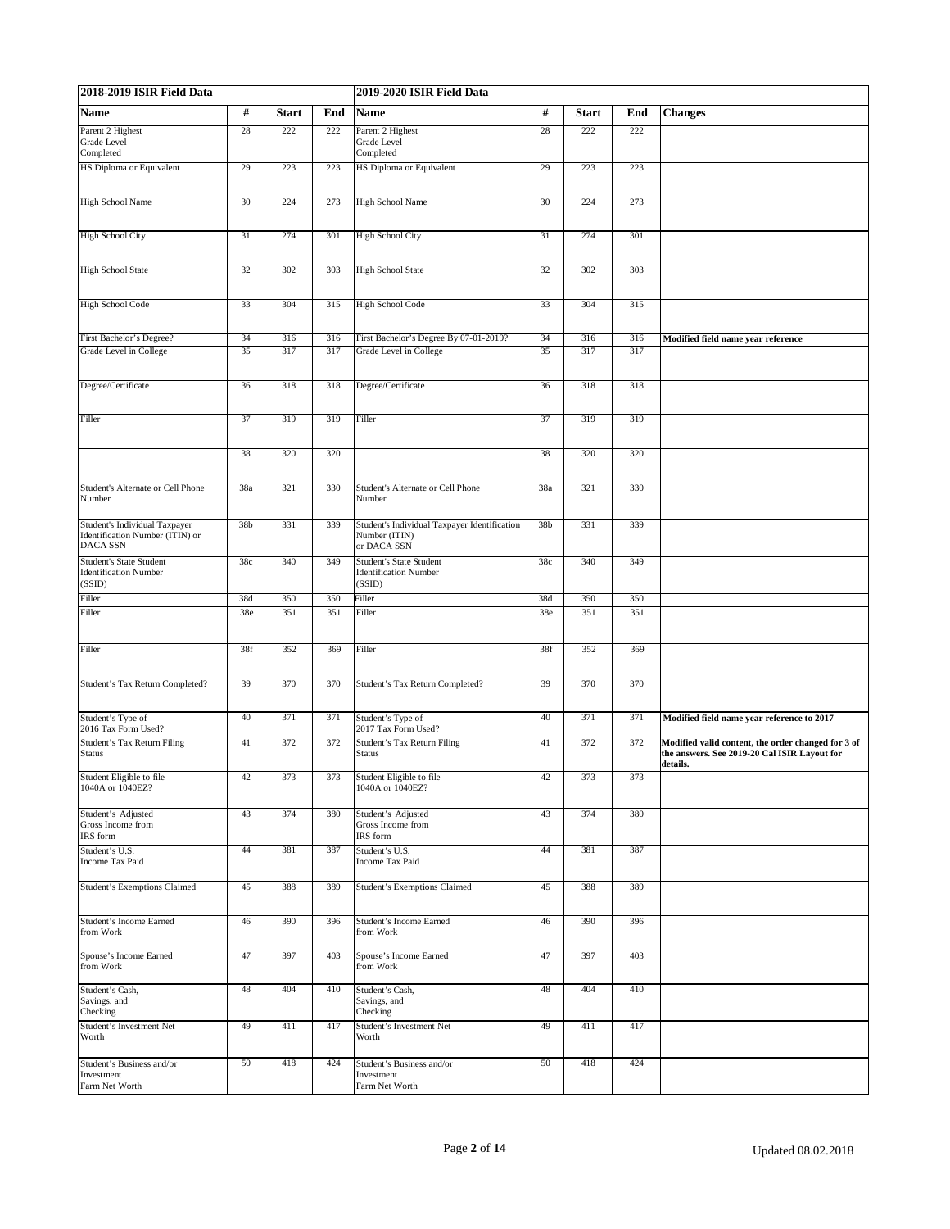| 2018-2019 ISIR Field Data                                                    |                 |              |     | 2019-2020 ISIR Field Data                                                    |                 |              |     |                                                                                                                |
|------------------------------------------------------------------------------|-----------------|--------------|-----|------------------------------------------------------------------------------|-----------------|--------------|-----|----------------------------------------------------------------------------------------------------------------|
| Name                                                                         | $\#$            | <b>Start</b> | End | Name                                                                         | $\#$            | <b>Start</b> | End | <b>Changes</b>                                                                                                 |
| Parent 2 Highest<br>Grade Level<br>Completed                                 | 28              | 222          | 222 | Parent 2 Highest<br>Grade Level<br>Completed                                 | 28              | 222          | 222 |                                                                                                                |
| HS Diploma or Equivalent                                                     | 29              | 223          | 223 | HS Diploma or Equivalent                                                     | 29              | 223          | 223 |                                                                                                                |
| <b>High School Name</b>                                                      | 30              | 224          | 273 | <b>High School Name</b>                                                      | 30              | 224          | 273 |                                                                                                                |
| <b>High School City</b>                                                      | 31              | 274          | 301 | <b>High School City</b>                                                      | 31              | 274          | 301 |                                                                                                                |
| <b>High School State</b>                                                     | 32              | 302          | 303 | <b>High School State</b>                                                     | 32              | 302          | 303 |                                                                                                                |
|                                                                              |                 |              |     |                                                                              |                 |              |     |                                                                                                                |
| <b>High School Code</b>                                                      | 33              | 304          | 315 | <b>High School Code</b>                                                      | 33              | 304          | 315 |                                                                                                                |
| First Bachelor's Degree?                                                     | 34              | 316          | 316 | First Bachelor's Degree By 07-01-2019?                                       | 34              | 316          | 316 | Modified field name year reference                                                                             |
| Grade Level in College                                                       | 35              | 317          | 317 | Grade Level in College                                                       | 35              | 317          | 317 |                                                                                                                |
| Degree/Certificate                                                           | 36              | 318          | 318 | Degree/Certificate                                                           | 36              | 318          | 318 |                                                                                                                |
| Filler                                                                       | 37              | 319          | 319 | Filler                                                                       | 37              | 319          | 319 |                                                                                                                |
|                                                                              | 38              | 320          | 320 |                                                                              | 38              | 320          | 320 |                                                                                                                |
| Student's Alternate or Cell Phone<br>Number                                  | 38a             | 321          | 330 | Student's Alternate or Cell Phone<br>Number                                  | 38a             | 321          | 330 |                                                                                                                |
| Student's Individual Taxpayer<br>Identification Number (ITIN) or<br>DACA SSN | 38 <sub>b</sub> | 331          | 339 | Student's Individual Taxpayer Identification<br>Number (ITIN)<br>or DACA SSN | 38 <sub>b</sub> | 331          | 339 |                                                                                                                |
| <b>Student's State Student</b><br><b>Identification Number</b><br>(SSID)     | 38c             | 340          | 349 | <b>Student's State Student</b><br><b>Identification Number</b><br>(SSID)     | 38c             | 340          | 349 |                                                                                                                |
| Filler                                                                       | 38d             | 350          | 350 | Filler                                                                       | 38d             | 350          | 350 |                                                                                                                |
| Filler                                                                       | 38e             | 351          | 351 | Filler                                                                       | 38e             | 351          | 351 |                                                                                                                |
| Filler                                                                       | 38f             | 352          | 369 | Filler                                                                       | 38f             | 352          | 369 |                                                                                                                |
| Student's Tax Return Completed?                                              | 39              | 370          | 370 | Student's Tax Return Completed?                                              | 39              | 370          | 370 |                                                                                                                |
| Student's Type of<br>2016 Tax Form Used?                                     | 40              | 371          | 371 | Student's Type of<br>2017 Tax Form Used?                                     | 40              | 371          | 371 | Modified field name year reference to 2017                                                                     |
| Student's Tax Return Filing<br><b>Status</b>                                 | 41              | 372          | 372 | <b>Student's Tax Return Filing</b><br>Status                                 | 41              | 372          | 372 | Modified valid content, the order changed for 3 of<br>the answers. See 2019-20 Cal ISIR Layout for<br>details. |
| Student Eligible to file<br>1040A or 1040EZ?                                 | 42              | 373          | 373 | Student Eligible to file<br>1040A or 1040EZ?                                 | 42              | 373          | 373 |                                                                                                                |
| Student's Adjusted<br>Gross Income from<br>IRS form                          | 43              | 374          | 380 | Student's Adjusted<br>Gross Income from<br>IRS form                          | 43              | 374          | 380 |                                                                                                                |
| Student's U.S.<br>Income Tax Paid                                            | 44              | 381          | 387 | Student's U.S.<br><b>Income Tax Paid</b>                                     | 44              | 381          | 387 |                                                                                                                |
| <b>Student's Exemptions Claimed</b>                                          | 45              | 388          | 389 | <b>Student's Exemptions Claimed</b>                                          | 45              | 388          | 389 |                                                                                                                |
| Student's Income Earned<br>from Work                                         | 46              | 390          | 396 | Student's Income Earned<br>from Work                                         | 46              | 390          | 396 |                                                                                                                |
| Spouse's Income Earned<br>from Work                                          | 47              | 397          | 403 | Spouse's Income Earned<br>from Work                                          | 47              | 397          | 403 |                                                                                                                |
| Student's Cash,<br>Savings, and<br>Checking                                  | 48              | 404          | 410 | Student's Cash,<br>Savings, and<br>Checking                                  | 48              | 404          | 410 |                                                                                                                |
| Student's Investment Net<br>Worth                                            | 49              | 411          | 417 | Student's Investment Net<br>Worth                                            | 49              | 411          | 417 |                                                                                                                |
| Student's Business and/or<br>Investment<br>Farm Net Worth                    | 50              | 418          | 424 | Student's Business and/or<br>Investment<br>Farm Net Worth                    | 50              | 418          | 424 |                                                                                                                |
|                                                                              |                 |              |     |                                                                              |                 |              |     |                                                                                                                |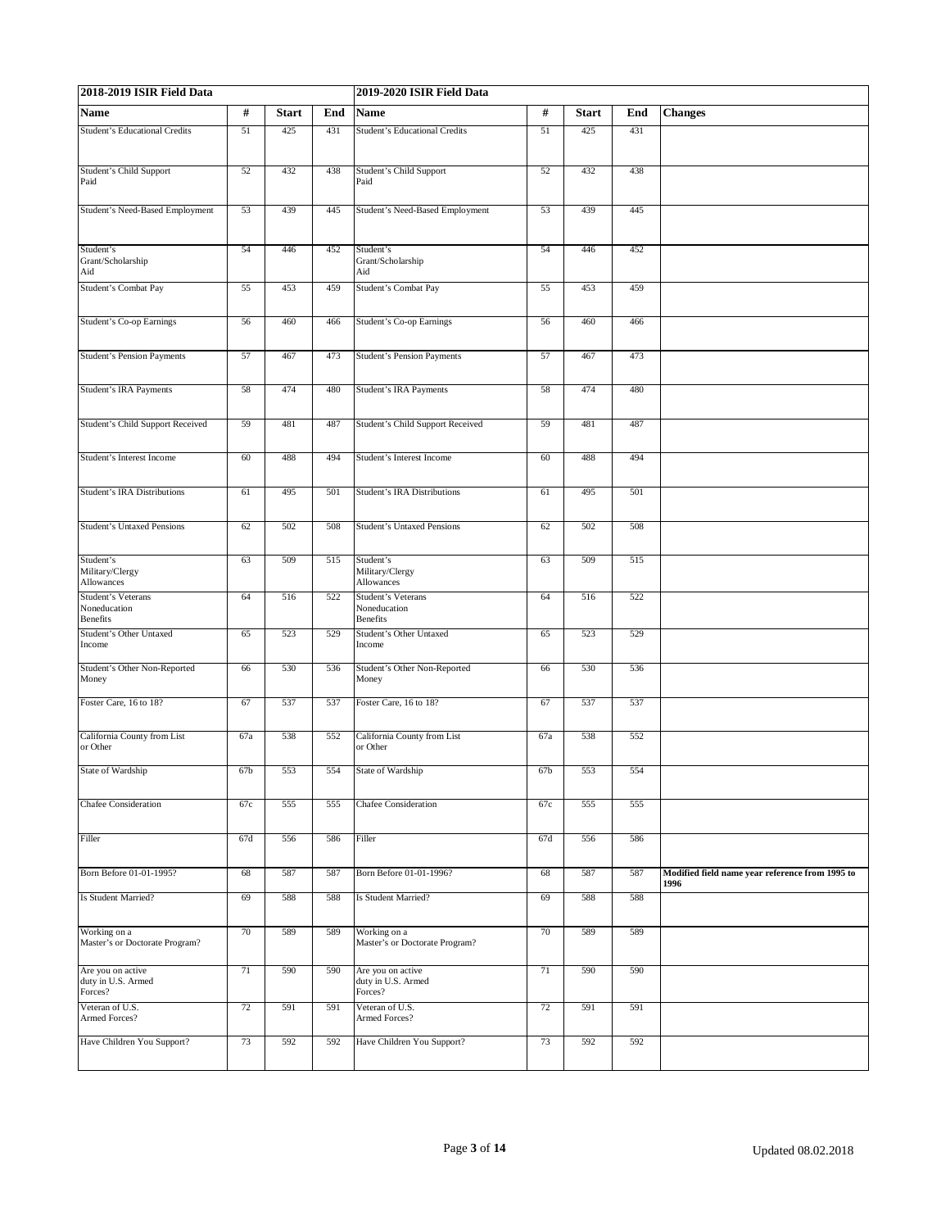| 2018-2019 ISIR Field Data                             |     |              |     | 2019-2020 ISIR Field Data                             |                 |              |     |                                                         |  |
|-------------------------------------------------------|-----|--------------|-----|-------------------------------------------------------|-----------------|--------------|-----|---------------------------------------------------------|--|
| Name                                                  | #   | <b>Start</b> | End | <b>Name</b>                                           | $\#$            | <b>Start</b> | End | <b>Changes</b>                                          |  |
| <b>Student's Educational Credits</b>                  | 51  | 425          | 431 | <b>Student's Educational Credits</b>                  | 51              | 425          | 431 |                                                         |  |
| Student's Child Support<br>Paid                       | 52  | 432          | 438 | Student's Child Support<br>Paid                       | 52              | 432          | 438 |                                                         |  |
| Student's Need-Based Employment                       | 53  | 439          | 445 | Student's Need-Based Employment                       | 53              | 439          | 445 |                                                         |  |
| Student's<br>Grant/Scholarship<br>Aid                 | 54  | 446          | 452 | Student's<br>Grant/Scholarship<br>Aid                 | 54              | 446          | 452 |                                                         |  |
| <b>Student's Combat Pay</b>                           | 55  | 453          | 459 | Student's Combat Pay                                  | 55              | 453          | 459 |                                                         |  |
| Student's Co-op Earnings                              | 56  | 460          | 466 | <b>Student's Co-op Earnings</b>                       | 56              | 460          | 466 |                                                         |  |
| <b>Student's Pension Payments</b>                     | 57  | 467          | 473 | <b>Student's Pension Payments</b>                     | 57              | 467          | 473 |                                                         |  |
| Student's IRA Payments                                | 58  | 474          | 480 | Student's IRA Payments                                | 58              | 474          | 480 |                                                         |  |
| Student's Child Support Received                      | 59  | 481          | 487 | Student's Child Support Received                      | 59              | 481          | 487 |                                                         |  |
| Student's Interest Income                             | 60  | 488          | 494 | Student's Interest Income                             | 60              | 488          | 494 |                                                         |  |
| <b>Student's IRA Distributions</b>                    | 61  | 495          | 501 | <b>Student's IRA Distributions</b>                    | 61              | 495          | 501 |                                                         |  |
| <b>Student's Untaxed Pensions</b>                     | 62  | 502          | 508 | <b>Student's Untaxed Pensions</b>                     | 62              | 502          | 508 |                                                         |  |
| Student's<br>Military/Clergy<br>Allowances            | 63  | 509          | 515 | Student's<br>Military/Clergy<br>Allowances            | 63              | 509          | 515 |                                                         |  |
| Student's Veterans<br>Noneducation<br><b>Benefits</b> | 64  | 516          | 522 | <b>Student's Veterans</b><br>Noneducation<br>Benefits | 64              | 516          | 522 |                                                         |  |
| Student's Other Untaxed<br>Income                     | 65  | 523          | 529 | Student's Other Untaxed<br>Income                     | 65              | 523          | 529 |                                                         |  |
| Student's Other Non-Reported<br>Money                 | 66  | 530          | 536 | Student's Other Non-Reported<br>Money                 | 66              | 530          | 536 |                                                         |  |
| Foster Care, 16 to 18?                                | 67  | 537          | 537 | Foster Care, 16 to 18?                                | 67              | 537          | 537 |                                                         |  |
| California County from List<br>or Other               | 67a | 538          | 552 | California County from List<br>or Other               | 67a             | 538          | 552 |                                                         |  |
| State of Wardship                                     | 67b | 553          | 554 | State of Wardship                                     | 67 <sub>b</sub> | 553          | 554 |                                                         |  |
| Chafee Consideration                                  | 67c | 555          | 555 | <b>Chafee Consideration</b>                           | 67c             | 555          | 555 |                                                         |  |
| Filler                                                | 67d | 556          | 586 | Filler                                                | 67d             | 556          | 586 |                                                         |  |
| Born Before 01-01-1995?                               | 68  | 587          | 587 | Born Before 01-01-1996?                               | 68              | 587          | 587 | Modified field name year reference from 1995 to<br>1996 |  |
| Is Student Married?                                   | 69  | 588          | 588 | Is Student Married?                                   | 69              | 588          | 588 |                                                         |  |
| Working on a<br>Master's or Doctorate Program?        | 70  | 589          | 589 | Working on a<br>Master's or Doctorate Program?        | 70              | 589          | 589 |                                                         |  |
| Are you on active<br>duty in U.S. Armed<br>Forces?    | 71  | 590          | 590 | Are you on active<br>duty in U.S. Armed<br>Forces?    | 71              | 590          | 590 |                                                         |  |
| Veteran of U.S.<br>Armed Forces?                      | 72  | 591          | 591 | Veteran of U.S.<br>Armed Forces?                      | 72              | 591          | 591 |                                                         |  |
| Have Children You Support?                            | 73  | 592          | 592 | Have Children You Support?                            | 73              | 592          | 592 |                                                         |  |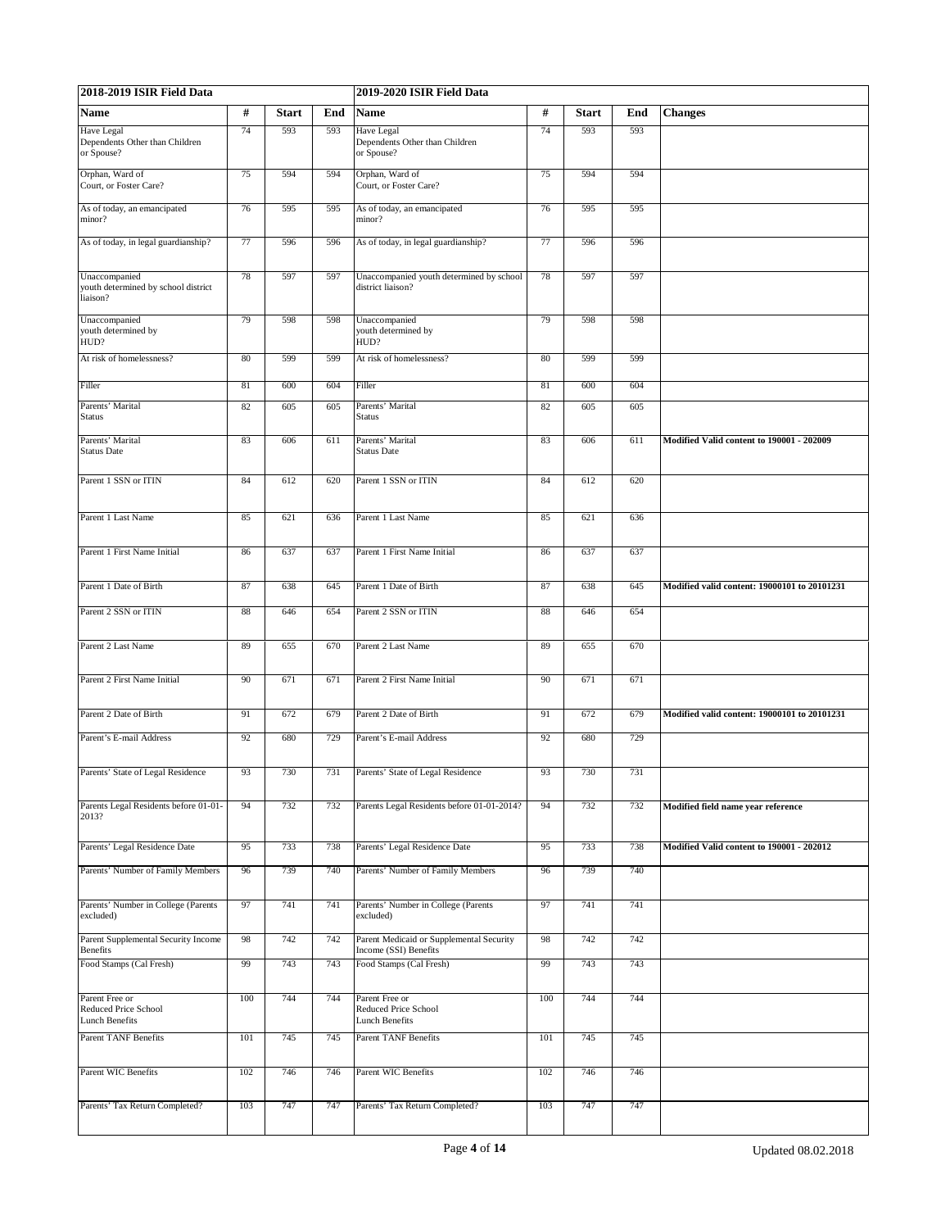| 2018-2019 ISIR Field Data                                        |     |              |     | 2019-2020 ISIR Field Data                                         |     |              |     |                                              |
|------------------------------------------------------------------|-----|--------------|-----|-------------------------------------------------------------------|-----|--------------|-----|----------------------------------------------|
| Name                                                             | #   | <b>Start</b> | End | <b>Name</b>                                                       | #   | <b>Start</b> | End | <b>Changes</b>                               |
| Have Legal<br>Dependents Other than Children<br>or Spouse?       | 74  | 593          | 593 | Have Legal<br>Dependents Other than Children<br>or Spouse?        | 74  | 593          | 593 |                                              |
| Orphan, Ward of<br>Court, or Foster Care?                        | 75  | 594          | 594 | Orphan, Ward of<br>Court, or Foster Care?                         | 75  | 594          | 594 |                                              |
| As of today, an emancipated<br>minor?                            | 76  | 595          | 595 | As of today, an emancipated<br>minor?                             | 76  | 595          | 595 |                                              |
| As of today, in legal guardianship?                              | 77  | 596          | 596 | As of today, in legal guardianship?                               | 77  | 596          | 596 |                                              |
| Unaccompanied<br>youth determined by school district<br>liaison? | 78  | 597          | 597 | Unaccompanied youth determined by school<br>district liaison?     | 78  | 597          | 597 |                                              |
| Unaccompanied<br>youth determined by<br>HUD?                     | 79  | 598          | 598 | Unaccompanied<br>youth determined by<br>HUD?                      | 79  | 598          | 598 |                                              |
| At risk of homelessness?                                         | 80  | 599          | 599 | At risk of homelessness?                                          | 80  | 599          | 599 |                                              |
| Filler                                                           | 81  | 600          | 604 | Filler                                                            | 81  | 600          | 604 |                                              |
| Parents' Marital<br>Status                                       | 82  | 605          | 605 | Parents' Marital<br>Status                                        | 82  | 605          | 605 |                                              |
| Parents' Marital<br><b>Status Date</b>                           | 83  | 606          | 611 | Parents' Marital<br><b>Status Date</b>                            | 83  | 606          | 611 | Modified Valid content to 190001 - 202009    |
| Parent 1 SSN or ITIN                                             | 84  | 612          | 620 | Parent 1 SSN or ITIN                                              | 84  | 612          | 620 |                                              |
| Parent 1 Last Name                                               | 85  | 621          | 636 | Parent 1 Last Name                                                | 85  | 621          | 636 |                                              |
| Parent 1 First Name Initial                                      | 86  | 637          | 637 | Parent 1 First Name Initial                                       | 86  | 637          | 637 |                                              |
| Parent 1 Date of Birth                                           | 87  | 638          | 645 | Parent 1 Date of Birth                                            | 87  | 638          | 645 | Modified valid content: 19000101 to 20101231 |
| Parent 2 SSN or ITIN                                             | 88  | 646          | 654 | Parent 2 SSN or ITIN                                              | 88  | 646          | 654 |                                              |
| Parent 2 Last Name                                               | 89  | 655          | 670 | Parent 2 Last Name                                                | 89  | 655          | 670 |                                              |
| Parent 2 First Name Initial                                      | 90  | 671          | 671 | Parent 2 First Name Initial                                       | 90  | 671          | 671 |                                              |
| Parent 2 Date of Birth                                           | 91  | 672          | 679 | Parent 2 Date of Birth                                            | 91  | 672          | 679 | Modified valid content: 19000101 to 20101231 |
| Parent's E-mail Address                                          | 92  | 680          | 729 | Parent's E-mail Address                                           | 92  | 680          | 729 |                                              |
| Parents' State of Legal Residence                                | 93  | 730          | 731 | Parents' State of Legal Residence                                 | 93  | 730          | 731 |                                              |
| Parents Legal Residents before 01-01-<br>2013?                   | 94  | 732          | 732 | Parents Legal Residents before 01-01-2014?                        | 94  | 732          | 732 | Modified field name year reference           |
| Parents' Legal Residence Date                                    | 95  | 733          | 738 | Parents' Legal Residence Date                                     | 95  | 733          | 738 | Modified Valid content to 190001 - 202012    |
| Parents' Number of Family Members                                | 96  | 739          | 740 | Parents' Number of Family Members                                 | 96  | 739          | 740 |                                              |
| Parents' Number in College (Parents<br>excluded)                 | 97  | 741          | 741 | Parents' Number in College (Parents<br>excluded)                  | 97  | 741          | 741 |                                              |
| Parent Supplemental Security Income<br>Benefits                  | 98  | 742          | 742 | Parent Medicaid or Supplemental Security<br>Income (SSI) Benefits | 98  | 742          | 742 |                                              |
| Food Stamps (Cal Fresh)                                          | 99  | 743          | 743 | Food Stamps (Cal Fresh)                                           | 99  | 743          | 743 |                                              |
| Parent Free or<br>Reduced Price School<br><b>Lunch Benefits</b>  | 100 | 744          | 744 | Parent Free or<br>Reduced Price School<br><b>Lunch Benefits</b>   | 100 | 744          | 744 |                                              |
| <b>Parent TANF Benefits</b>                                      | 101 | 745          | 745 | <b>Parent TANF Benefits</b>                                       | 101 | 745          | 745 |                                              |
| Parent WIC Benefits                                              | 102 | 746          | 746 | Parent WIC Benefits                                               | 102 | 746          | 746 |                                              |
| Parents' Tax Return Completed?                                   | 103 | 747          | 747 | Parents' Tax Return Completed?                                    | 103 | 747          | 747 |                                              |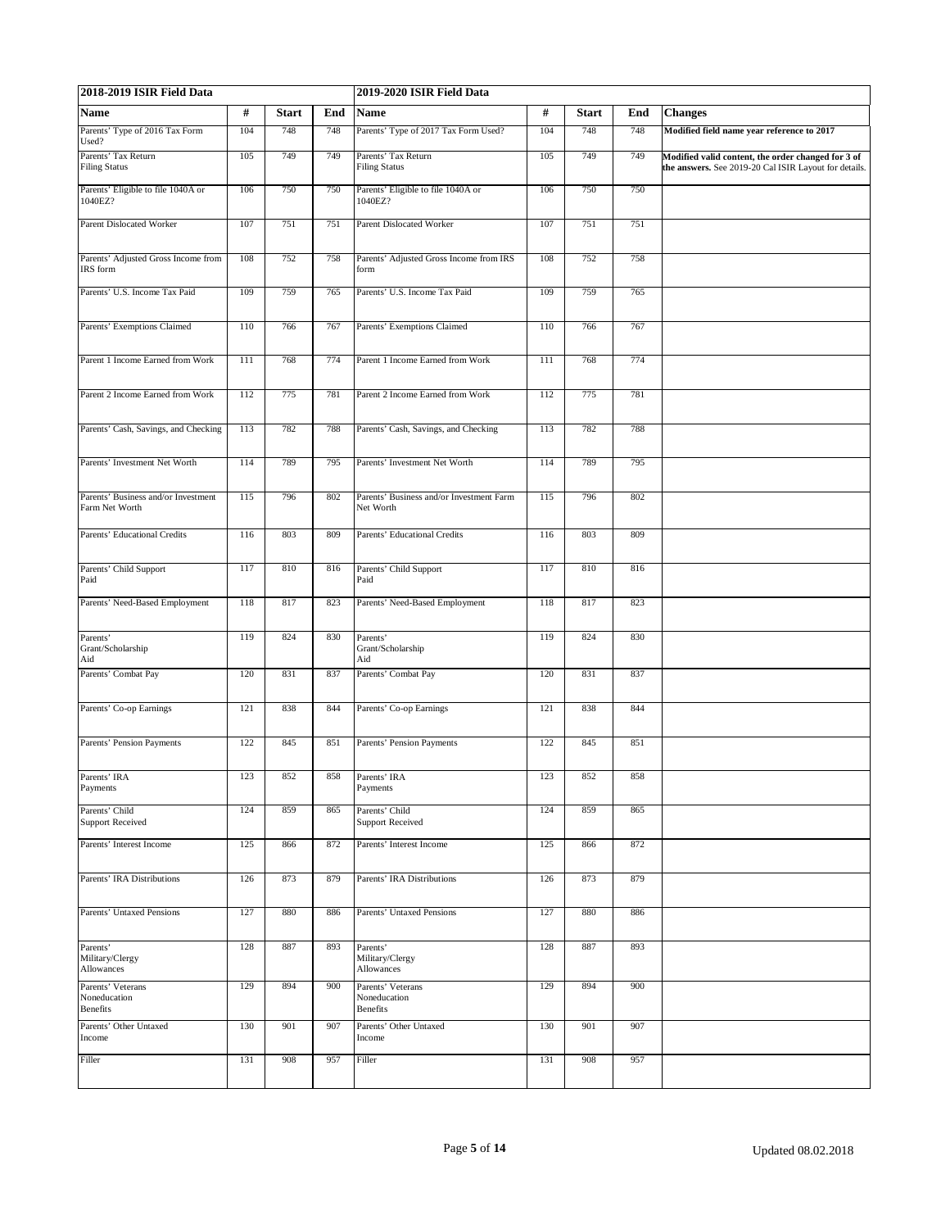| 2018-2019 ISIR Field Data                             |     |              |     | 2019-2020 ISIR Field Data                             | #<br><b>Changes</b><br><b>Start</b><br>End<br>104<br>748<br>748<br>Modified field name year reference to 2017<br>749<br>749<br>105<br>Modified valid content, the order changed for 3 of<br>the answers. See 2019-20 Cal ISIR Layout for details.<br>106<br>750<br>750 |     |     |  |  |  |
|-------------------------------------------------------|-----|--------------|-----|-------------------------------------------------------|------------------------------------------------------------------------------------------------------------------------------------------------------------------------------------------------------------------------------------------------------------------------|-----|-----|--|--|--|
| Name                                                  | #   | <b>Start</b> | End | Name                                                  |                                                                                                                                                                                                                                                                        |     |     |  |  |  |
| Parents' Type of 2016 Tax Form<br>Used?               | 104 | 748          | 748 | Parents' Type of 2017 Tax Form Used?                  |                                                                                                                                                                                                                                                                        |     |     |  |  |  |
| Parents' Tax Return<br><b>Filing Status</b>           | 105 | 749          | 749 | Parents' Tax Return<br><b>Filing Status</b>           |                                                                                                                                                                                                                                                                        |     |     |  |  |  |
| Parents' Eligible to file 1040A or<br>1040EZ?         | 106 | 750          | 750 | Parents' Eligible to file 1040A or<br>1040EZ?         |                                                                                                                                                                                                                                                                        |     |     |  |  |  |
| Parent Dislocated Worker                              | 107 | 751          | 751 | Parent Dislocated Worker                              | 107                                                                                                                                                                                                                                                                    | 751 | 751 |  |  |  |
| Parents' Adjusted Gross Income from<br>IRS form       | 108 | 752          | 758 | Parents' Adjusted Gross Income from IRS<br>form       | 108                                                                                                                                                                                                                                                                    | 752 | 758 |  |  |  |
| Parents' U.S. Income Tax Paid                         | 109 | 759          | 765 | Parents' U.S. Income Tax Paid                         | 109                                                                                                                                                                                                                                                                    | 759 | 765 |  |  |  |
| Parents' Exemptions Claimed                           | 110 | 766          | 767 | Parents' Exemptions Claimed                           | 110                                                                                                                                                                                                                                                                    | 766 | 767 |  |  |  |
| Parent 1 Income Earned from Work                      | 111 | 768          | 774 | Parent 1 Income Earned from Work                      | 111                                                                                                                                                                                                                                                                    | 768 | 774 |  |  |  |
| Parent 2 Income Earned from Work                      | 112 | 775          | 781 | Parent 2 Income Earned from Work                      | 112                                                                                                                                                                                                                                                                    | 775 | 781 |  |  |  |
| Parents' Cash, Savings, and Checking                  | 113 | 782          | 788 | Parents' Cash, Savings, and Checking                  | 113                                                                                                                                                                                                                                                                    | 782 | 788 |  |  |  |
| Parents' Investment Net Worth                         | 114 | 789          | 795 | Parents' Investment Net Worth                         | 114                                                                                                                                                                                                                                                                    | 789 | 795 |  |  |  |
| Parents' Business and/or Investment<br>Farm Net Worth | 115 | 796          | 802 | Parents' Business and/or Investment Farm<br>Net Worth | 115                                                                                                                                                                                                                                                                    | 796 | 802 |  |  |  |
| Parents' Educational Credits                          | 116 | 803          | 809 | Parents' Educational Credits                          | 116                                                                                                                                                                                                                                                                    | 803 | 809 |  |  |  |
| Parents' Child Support<br>Paid                        | 117 | 810          | 816 | Parents' Child Support<br>Paid                        | 117                                                                                                                                                                                                                                                                    | 810 | 816 |  |  |  |
| Parents' Need-Based Employment                        | 118 | 817          | 823 | Parents' Need-Based Employment                        | 118                                                                                                                                                                                                                                                                    | 817 | 823 |  |  |  |
| Parents'<br>Grant/Scholarship<br>Aid                  | 119 | 824          | 830 | Parents'<br>Grant/Scholarship<br>Aid                  | 119                                                                                                                                                                                                                                                                    | 824 | 830 |  |  |  |
| Parents' Combat Pay                                   | 120 | 831          | 837 | Parents' Combat Pay                                   | 120                                                                                                                                                                                                                                                                    | 831 | 837 |  |  |  |
| Parents' Co-op Earnings                               | 121 | 838          | 844 | Parents' Co-op Earnings                               | 121                                                                                                                                                                                                                                                                    | 838 | 844 |  |  |  |
| Parents' Pension Payments                             | 122 | 845          | 851 | Parents' Pension Payments                             | 122                                                                                                                                                                                                                                                                    | 845 | 851 |  |  |  |
| Parents' IRA<br>Payments                              | 123 | 852          | 858 | Parents' IRA<br>Payments                              | 123                                                                                                                                                                                                                                                                    | 852 | 858 |  |  |  |
| Parents' Child<br><b>Support Received</b>             | 124 | 859          | 865 | Parents' Child<br><b>Support Received</b>             | 124                                                                                                                                                                                                                                                                    | 859 | 865 |  |  |  |
| Parents' Interest Income                              | 125 | 866          | 872 | Parents' Interest Income                              | 125                                                                                                                                                                                                                                                                    | 866 | 872 |  |  |  |
| Parents' IRA Distributions                            | 126 | 873          | 879 | Parents' IRA Distributions                            | 126                                                                                                                                                                                                                                                                    | 873 | 879 |  |  |  |
| <b>Parents' Untaxed Pensions</b>                      | 127 | 880          | 886 | <b>Parents' Untaxed Pensions</b>                      | 127                                                                                                                                                                                                                                                                    | 880 | 886 |  |  |  |
| Parents'<br>Military/Clergy<br>Allowances             | 128 | 887          | 893 | Parents'<br>Military/Clergy<br>Allowances             | 128                                                                                                                                                                                                                                                                    | 887 | 893 |  |  |  |
| Parents' Veterans<br>Noneducation<br><b>Benefits</b>  | 129 | 894          | 900 | Parents' Veterans<br>Noneducation<br><b>Benefits</b>  | 129                                                                                                                                                                                                                                                                    | 894 | 900 |  |  |  |
| Parents' Other Untaxed<br>Income                      | 130 | 901          | 907 | Parents' Other Untaxed<br>Income                      | 130                                                                                                                                                                                                                                                                    | 901 | 907 |  |  |  |
| Filler                                                | 131 | 908          | 957 | Filler                                                | 131                                                                                                                                                                                                                                                                    | 908 | 957 |  |  |  |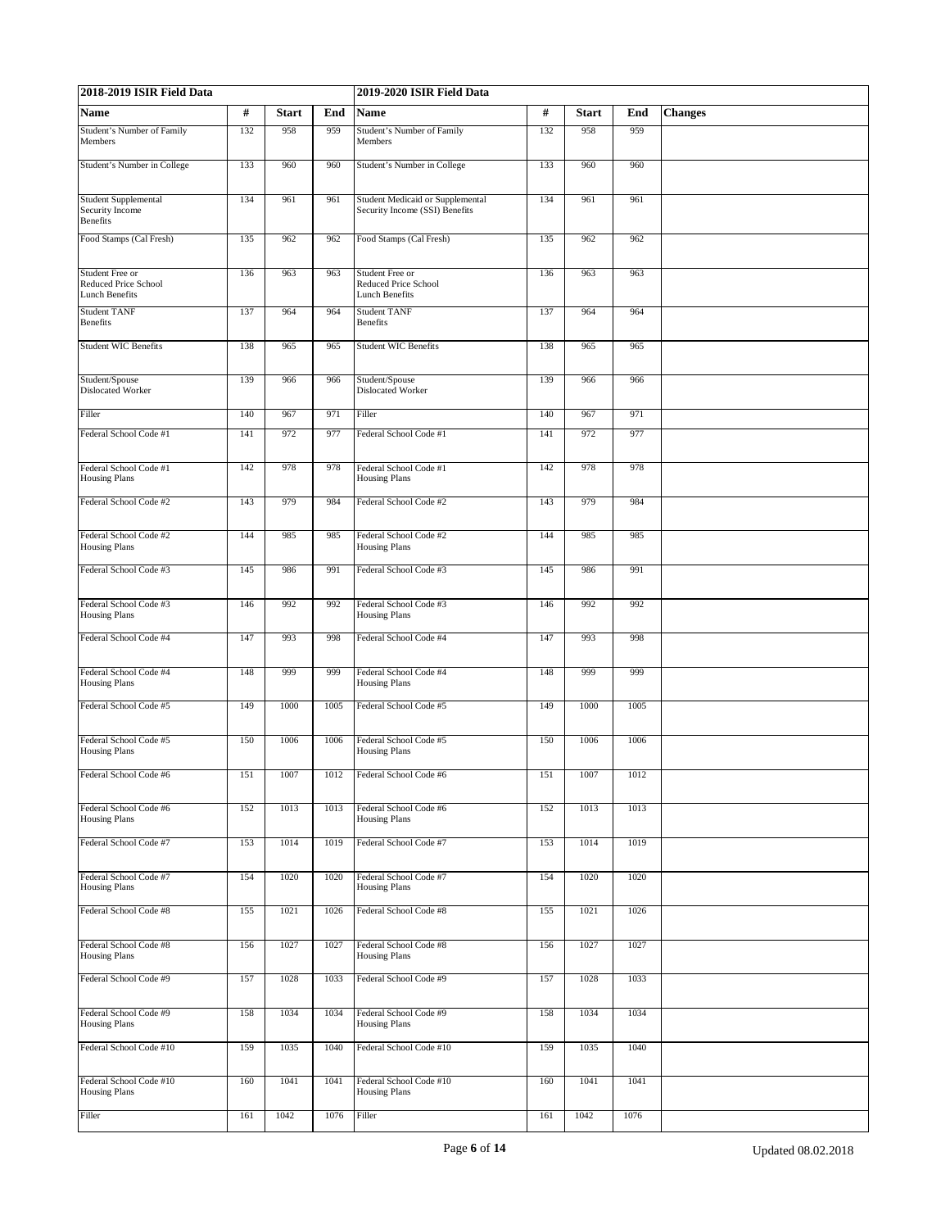| 2018-2019 ISIR Field Data                                        |     |              |      | 2019-2020 ISIR Field Data                                          |      |              | <b>Changes</b><br>End<br>959<br>960<br>961<br>962<br>963<br>964 |  |  |  |  |
|------------------------------------------------------------------|-----|--------------|------|--------------------------------------------------------------------|------|--------------|-----------------------------------------------------------------|--|--|--|--|
| Name                                                             | #   | <b>Start</b> | End  | Name                                                               | $\#$ | <b>Start</b> |                                                                 |  |  |  |  |
| <b>Student's Number of Family</b><br>Members                     | 132 | 958          | 959  | Student's Number of Family<br>Members                              | 132  | 958          |                                                                 |  |  |  |  |
| Student's Number in College                                      | 133 | 960          | 960  | Student's Number in College                                        | 133  | 960          |                                                                 |  |  |  |  |
| <b>Student Supplemental</b><br>Security Income<br>Benefits       | 134 | 961          | 961  | Student Medicaid or Supplemental<br>Security Income (SSI) Benefits | 134  | 961          |                                                                 |  |  |  |  |
| Food Stamps (Cal Fresh)                                          | 135 | 962          | 962  | Food Stamps (Cal Fresh)                                            | 135  | 962          |                                                                 |  |  |  |  |
| Student Free or<br>Reduced Price School<br><b>Lunch Benefits</b> | 136 | 963          | 963  | Student Free or<br>Reduced Price School<br><b>Lunch Benefits</b>   | 136  | 963          |                                                                 |  |  |  |  |
| <b>Student TANF</b><br><b>Benefits</b>                           | 137 | 964          | 964  | <b>Student TANF</b><br>Benefits                                    | 137  | 964          |                                                                 |  |  |  |  |
| <b>Student WIC Benefits</b>                                      | 138 | 965          | 965  | <b>Student WIC Benefits</b>                                        | 138  | 965          | 965                                                             |  |  |  |  |
| Student/Spouse<br><b>Dislocated Worker</b>                       | 139 | 966          | 966  | Student/Spouse<br>Dislocated Worker                                | 139  | 966          | 966                                                             |  |  |  |  |
| Filler                                                           | 140 | 967          | 971  | Filler                                                             | 140  | 967          | 971                                                             |  |  |  |  |
| Federal School Code #1                                           | 141 | 972          | 977  | Federal School Code #1                                             | 141  | 972          | 977                                                             |  |  |  |  |
| Federal School Code #1<br><b>Housing Plans</b>                   | 142 | 978          | 978  | Federal School Code #1<br><b>Housing Plans</b>                     | 142  | 978          | 978                                                             |  |  |  |  |
| Federal School Code #2                                           | 143 | 979          | 984  | Federal School Code #2                                             | 143  | 979          | 984                                                             |  |  |  |  |
| Federal School Code #2<br><b>Housing Plans</b>                   | 144 | 985          | 985  | Federal School Code #2<br><b>Housing Plans</b>                     | 144  | 985          | 985                                                             |  |  |  |  |
| Federal School Code #3                                           | 145 | 986          | 991  | Federal School Code #3                                             | 145  | 986          | 991                                                             |  |  |  |  |
| Federal School Code #3<br><b>Housing Plans</b>                   | 146 | 992          | 992  | Federal School Code #3<br><b>Housing Plans</b>                     | 146  | 992          | 992                                                             |  |  |  |  |
| Federal School Code #4                                           | 147 | 993          | 998  | Federal School Code #4                                             | 147  | 993          | 998                                                             |  |  |  |  |
| Federal School Code #4<br><b>Housing Plans</b>                   | 148 | 999          | 999  | Federal School Code #4<br><b>Housing Plans</b>                     | 148  | 999          | 999                                                             |  |  |  |  |
| Federal School Code #5                                           | 149 | 1000         | 1005 | Federal School Code #5                                             | 149  | 1000         | 1005                                                            |  |  |  |  |
| Federal School Code #5<br><b>Housing Plans</b>                   | 150 | 1006         | 1006 | Federal School Code #5<br><b>Housing Plans</b>                     | 150  | 1006         | 1006                                                            |  |  |  |  |
| Federal School Code #6                                           | 151 | 1007         | 1012 | Federal School Code #6                                             | 151  | 1007         | 1012                                                            |  |  |  |  |
| Federal School Code #6<br><b>Housing Plans</b>                   | 152 | 1013         | 1013 | Federal School Code #6<br><b>Housing Plans</b>                     | 152  | 1013         | 1013                                                            |  |  |  |  |
| Federal School Code #7                                           | 153 | 1014         | 1019 | Federal School Code #7                                             | 153  | 1014         | 1019                                                            |  |  |  |  |
| Federal School Code #7<br><b>Housing Plans</b>                   | 154 | 1020         | 1020 | Federal School Code #7<br><b>Housing Plans</b>                     | 154  | 1020         | 1020                                                            |  |  |  |  |
| Federal School Code #8                                           | 155 | 1021         | 1026 | Federal School Code #8                                             | 155  | 1021         | 1026                                                            |  |  |  |  |
| Federal School Code #8<br><b>Housing Plans</b>                   | 156 | 1027         | 1027 | Federal School Code #8<br><b>Housing Plans</b>                     | 156  | 1027         | 1027                                                            |  |  |  |  |
| Federal School Code #9                                           | 157 | 1028         | 1033 | Federal School Code #9                                             | 157  | 1028         | 1033                                                            |  |  |  |  |
| Federal School Code #9<br><b>Housing Plans</b>                   | 158 | 1034         | 1034 | Federal School Code #9<br><b>Housing Plans</b>                     | 158  | 1034         | 1034                                                            |  |  |  |  |
| Federal School Code #10                                          | 159 | 1035         | 1040 | Federal School Code #10                                            | 159  | 1035         | 1040                                                            |  |  |  |  |
| Federal School Code #10<br><b>Housing Plans</b>                  | 160 | 1041         | 1041 | Federal School Code #10<br><b>Housing Plans</b>                    | 160  | 1041         | 1041                                                            |  |  |  |  |
| Filler                                                           | 161 | 1042         | 1076 | Filler                                                             | 161  | 1042         | 1076                                                            |  |  |  |  |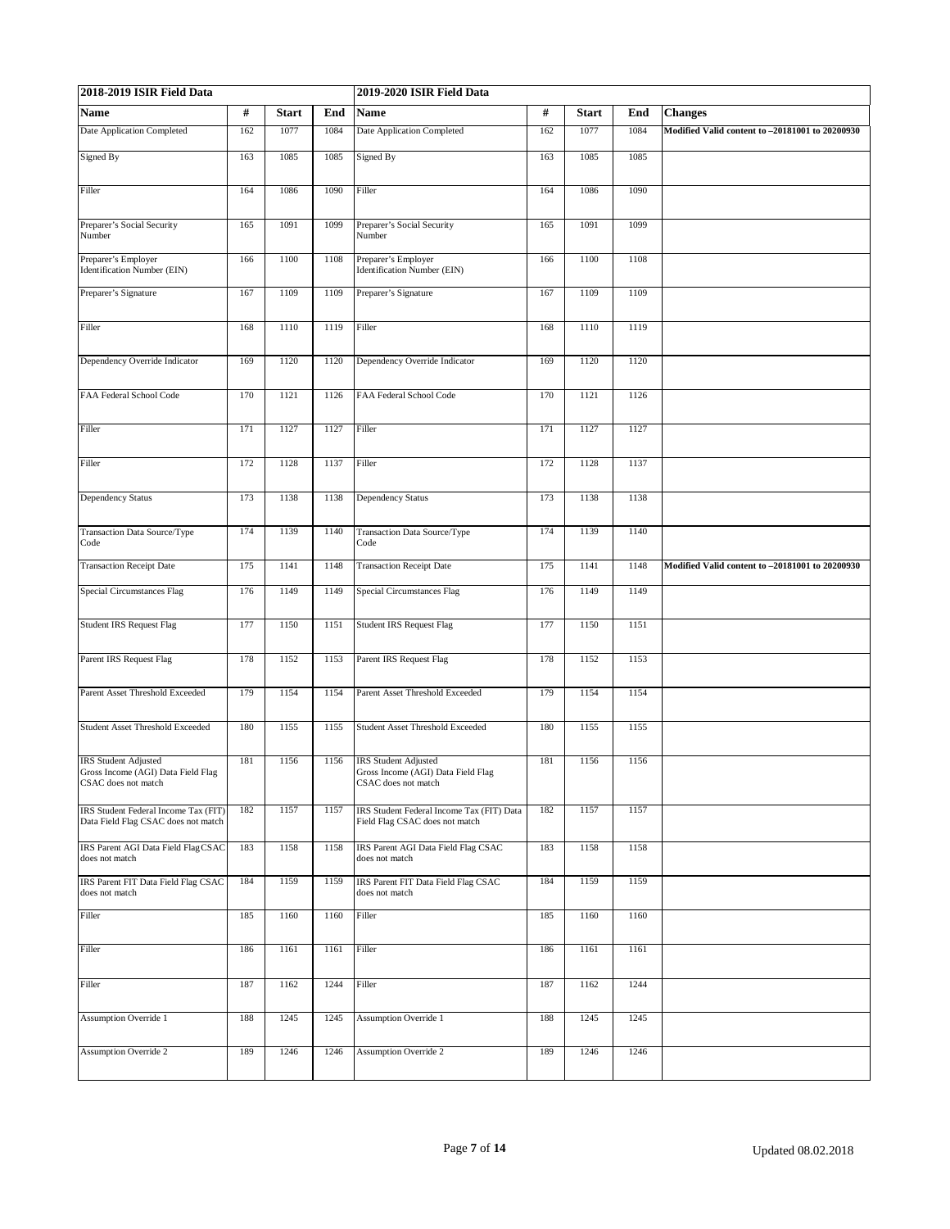| 2018-2019 ISIR Field Data                                                                |     |              |      | 2019-2020 ISIR Field Data                                                                |      |              |      |                                                 |
|------------------------------------------------------------------------------------------|-----|--------------|------|------------------------------------------------------------------------------------------|------|--------------|------|-------------------------------------------------|
| Name                                                                                     | #   | <b>Start</b> | End  | Name                                                                                     | $\#$ | <b>Start</b> | End  | <b>Changes</b>                                  |
| <b>Date Application Completed</b>                                                        | 162 | 1077         | 1084 | Date Application Completed                                                               | 162  | 1077         | 1084 | Modified Valid content to -20181001 to 20200930 |
| Signed By                                                                                | 163 | 1085         | 1085 | Signed By                                                                                | 163  | 1085         | 1085 |                                                 |
| Filler                                                                                   | 164 | 1086         | 1090 | Filler                                                                                   | 164  | 1086         | 1090 |                                                 |
| Preparer's Social Security<br>Number                                                     | 165 | 1091         | 1099 | Preparer's Social Security<br>Number                                                     | 165  | 1091         | 1099 |                                                 |
| Preparer's Employer<br>Identification Number (EIN)                                       | 166 | 1100         | 1108 | Preparer's Employer<br>Identification Number (EIN)                                       | 166  | 1100         | 1108 |                                                 |
| Preparer's Signature                                                                     | 167 | 1109         | 1109 | Preparer's Signature                                                                     | 167  | 1109         | 1109 |                                                 |
| Filler                                                                                   | 168 | 1110         | 1119 | Filler                                                                                   | 168  | 1110         | 1119 |                                                 |
| Dependency Override Indicator                                                            | 169 | 1120         | 1120 | Dependency Override Indicator                                                            | 169  | 1120         | 1120 |                                                 |
| FAA Federal School Code                                                                  | 170 | 1121         | 1126 | FAA Federal School Code                                                                  | 170  | 1121         | 1126 |                                                 |
| Filler                                                                                   | 171 | 1127         | 1127 | Filler                                                                                   | 171  | 1127         | 1127 |                                                 |
| Filler                                                                                   | 172 | 1128         | 1137 | Filler                                                                                   | 172  | 1128         | 1137 |                                                 |
| Dependency Status                                                                        | 173 | 1138         | 1138 | <b>Dependency Status</b>                                                                 | 173  | 1138         | 1138 |                                                 |
| Transaction Data Source/Type<br>Code                                                     | 174 | 1139         | 1140 | Transaction Data Source/Type<br>Code                                                     | 174  | 1139         | 1140 |                                                 |
| <b>Transaction Receipt Date</b>                                                          | 175 | 1141         | 1148 | <b>Transaction Receipt Date</b>                                                          | 175  | 1141         | 1148 | Modified Valid content to -20181001 to 20200930 |
| <b>Special Circumstances Flag</b>                                                        | 176 | 1149         | 1149 | <b>Special Circumstances Flag</b>                                                        | 176  | 1149         | 1149 |                                                 |
| <b>Student IRS Request Flag</b>                                                          | 177 | 1150         | 1151 | <b>Student IRS Request Flag</b>                                                          | 177  | 1150         | 1151 |                                                 |
| Parent IRS Request Flag                                                                  | 178 | 1152         | 1153 | Parent IRS Request Flag                                                                  | 178  | 1152         | 1153 |                                                 |
| Parent Asset Threshold Exceeded                                                          | 179 | 1154         | 1154 | Parent Asset Threshold Exceeded                                                          | 179  | 1154         | 1154 |                                                 |
| <b>Student Asset Threshold Exceeded</b>                                                  | 180 | 1155         | 1155 | <b>Student Asset Threshold Exceeded</b>                                                  | 180  | 1155         | 1155 |                                                 |
| <b>IRS</b> Student Adjusted<br>Gross Income (AGI) Data Field Flag<br>CSAC does not match | 181 | 1156         | 1156 | <b>IRS</b> Student Adjusted<br>Gross Income (AGI) Data Field Flag<br>USAC does not match | 181  | 1156         | 1156 |                                                 |
| IRS Student Federal Income Tax (FIT)<br>Data Field Flag CSAC does not match              | 182 | 1157         | 1157 | IRS Student Federal Income Tax (FIT) Data<br>Field Flag CSAC does not match              | 182  | 1157         | 1157 |                                                 |
| IRS Parent AGI Data Field FlagCSAC<br>does not match                                     | 183 | 1158         | 1158 | IRS Parent AGI Data Field Flag CSAC<br>does not match                                    | 183  | 1158         | 1158 |                                                 |
| <b>IRS Parent FIT Data Field Flag CSAC</b><br>does not match                             | 184 | 1159         | 1159 | IRS Parent FIT Data Field Flag CSAC<br>does not match                                    | 184  | 1159         | 1159 |                                                 |
| Filler                                                                                   | 185 | 1160         | 1160 | Filler                                                                                   | 185  | 1160         | 1160 |                                                 |
| Filler                                                                                   | 186 | 1161         | 1161 | Filler                                                                                   | 186  | 1161         | 1161 |                                                 |
| Filler                                                                                   | 187 | 1162         | 1244 | Filler                                                                                   | 187  | 1162         | 1244 |                                                 |
| <b>Assumption Override 1</b>                                                             | 188 | 1245         | 1245 | <b>Assumption Override 1</b>                                                             | 188  | 1245         | 1245 |                                                 |
| <b>Assumption Override 2</b>                                                             | 189 | 1246         | 1246 | <b>Assumption Override 2</b>                                                             | 189  | 1246         | 1246 |                                                 |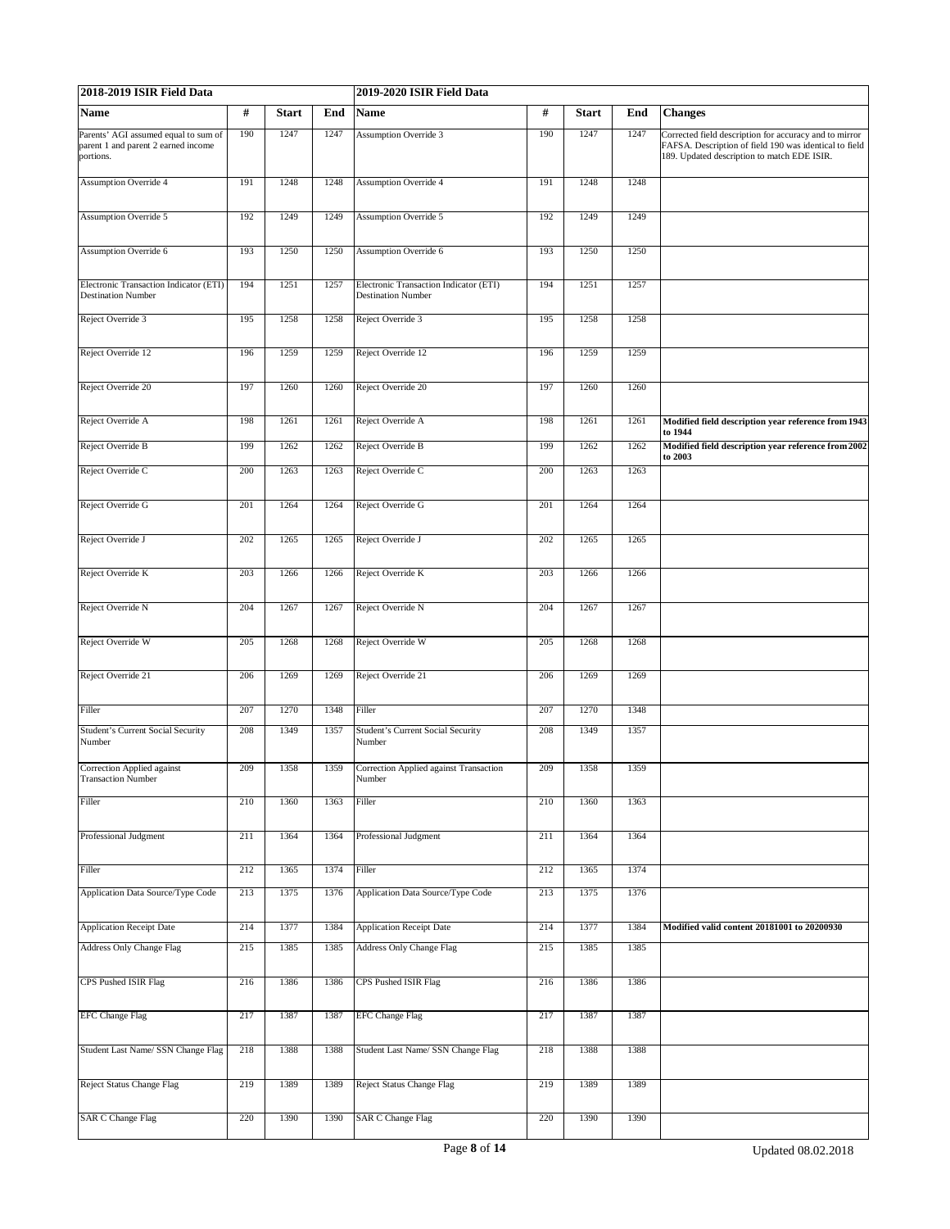| 2018-2019 ISIR Field Data                                                                |     |              |      | 2019-2020 ISIR Field Data                                           |      |              |      |                                                                                                                                                                 |  |  |  |
|------------------------------------------------------------------------------------------|-----|--------------|------|---------------------------------------------------------------------|------|--------------|------|-----------------------------------------------------------------------------------------------------------------------------------------------------------------|--|--|--|
| Name                                                                                     | #   | <b>Start</b> | End  | <b>Name</b>                                                         | $\#$ | <b>Start</b> | End  | <b>Changes</b>                                                                                                                                                  |  |  |  |
| Parents' AGI assumed equal to sum of<br>parent 1 and parent 2 earned income<br>portions. | 190 | 1247         | 1247 | <b>Assumption Override 3</b>                                        | 190  | 1247         | 1247 | Corrected field description for accuracy and to mirror<br>FAFSA. Description of field 190 was identical to field<br>189. Updated description to match EDE ISIR. |  |  |  |
| <b>Assumption Override 4</b>                                                             | 191 | 1248         | 1248 | <b>Assumption Override 4</b>                                        | 191  | 1248         | 1248 |                                                                                                                                                                 |  |  |  |
| Assumption Override 5                                                                    | 192 | 1249         | 1249 | <b>Assumption Override 5</b>                                        | 192  | 1249         | 1249 |                                                                                                                                                                 |  |  |  |
| Assumption Override 6                                                                    | 193 | 1250         | 1250 | <b>Assumption Override 6</b>                                        | 193  | 1250         | 1250 |                                                                                                                                                                 |  |  |  |
| Electronic Transaction Indicator (ETI)<br><b>Destination Number</b>                      | 194 | 1251         | 1257 | Electronic Transaction Indicator (ETI)<br><b>Destination Number</b> | 194  | 1251         | 1257 |                                                                                                                                                                 |  |  |  |
| Reject Override 3                                                                        | 195 | 1258         | 1258 | Reject Override 3                                                   | 195  | 1258         | 1258 |                                                                                                                                                                 |  |  |  |
| Reject Override 12                                                                       | 196 | 1259         | 1259 | Reject Override 12                                                  | 196  | 1259         | 1259 |                                                                                                                                                                 |  |  |  |
|                                                                                          |     |              |      |                                                                     |      |              |      |                                                                                                                                                                 |  |  |  |
| Reject Override 20                                                                       | 197 | 1260         | 1260 | Reject Override 20                                                  | 197  | 1260         | 1260 |                                                                                                                                                                 |  |  |  |
| Reject Override A                                                                        | 198 | 1261         | 1261 | Reject Override A                                                   | 198  | 1261         | 1261 | Modified field description year reference from 1943<br>to 1944                                                                                                  |  |  |  |
| Reject Override B                                                                        | 199 | 1262         | 1262 | Reject Override B                                                   | 199  | 1262         | 1262 | Modified field description year reference from 2002<br>to 2003                                                                                                  |  |  |  |
| Reject Override C                                                                        | 200 | 1263         | 1263 | Reject Override C                                                   | 200  | 1263         | 1263 |                                                                                                                                                                 |  |  |  |
| Reject Override G                                                                        | 201 | 1264         | 1264 | Reject Override G                                                   | 201  | 1264         | 1264 |                                                                                                                                                                 |  |  |  |
| Reject Override J                                                                        | 202 | 1265         | 1265 | Reject Override J                                                   | 202  | 1265         | 1265 |                                                                                                                                                                 |  |  |  |
| Reject Override K                                                                        | 203 | 1266         | 1266 | Reject Override K                                                   | 203  | 1266         | 1266 |                                                                                                                                                                 |  |  |  |
| Reject Override N                                                                        | 204 | 1267         | 1267 | Reject Override N                                                   | 204  | 1267         | 1267 |                                                                                                                                                                 |  |  |  |
| Reject Override W                                                                        | 205 | 1268         | 1268 | Reject Override W                                                   | 205  | 1268         | 1268 |                                                                                                                                                                 |  |  |  |
| Reject Override 21                                                                       | 206 | 1269         | 1269 | Reject Override 21                                                  | 206  | 1269         | 1269 |                                                                                                                                                                 |  |  |  |
| Filler                                                                                   | 207 | 1270         | 1348 | Filler                                                              | 207  | 1270         | 1348 |                                                                                                                                                                 |  |  |  |
| Student's Current Social Security<br>Number                                              | 208 | 1349         | 1357 | Student's Current Social Security<br>Number                         | 208  | 1349         | 1357 |                                                                                                                                                                 |  |  |  |
| Correction Applied against<br><b>Transaction Number</b>                                  | 209 | 1358         | 1359 | Correction Applied against Transaction<br>Number                    | 209  | 1358         | 1359 |                                                                                                                                                                 |  |  |  |
| Filler                                                                                   | 210 | 1360         | 1363 | Filler                                                              | 210  | 1360         | 1363 |                                                                                                                                                                 |  |  |  |
| Professional Judgment                                                                    | 211 | 1364         | 1364 | Professional Judgment                                               | 211  | 1364         | 1364 |                                                                                                                                                                 |  |  |  |
|                                                                                          |     |              |      |                                                                     |      |              |      |                                                                                                                                                                 |  |  |  |
| Filler                                                                                   | 212 | 1365         | 1374 | Filler                                                              | 212  | 1365         | 1374 |                                                                                                                                                                 |  |  |  |
| Application Data Source/Type Code                                                        | 213 | 1375         | 1376 | Application Data Source/Type Code                                   | 213  | 1375         | 1376 |                                                                                                                                                                 |  |  |  |
| <b>Application Receipt Date</b>                                                          | 214 | 1377         | 1384 | <b>Application Receipt Date</b>                                     | 214  | 1377         | 1384 | Modified valid content 20181001 to 20200930                                                                                                                     |  |  |  |
| Address Only Change Flag                                                                 | 215 | 1385         | 1385 | <b>Address Only Change Flag</b>                                     | 215  | 1385         | 1385 |                                                                                                                                                                 |  |  |  |
| CPS Pushed ISIR Flag                                                                     | 216 | 1386         | 1386 | CPS Pushed ISIR Flag                                                | 216  | 1386         | 1386 |                                                                                                                                                                 |  |  |  |
| <b>EFC Change Flag</b>                                                                   | 217 | 1387         | 1387 | <b>EFC Change Flag</b>                                              | 217  | 1387         | 1387 |                                                                                                                                                                 |  |  |  |
| Student Last Name/ SSN Change Flag                                                       | 218 | 1388         | 1388 | Student Last Name/ SSN Change Flag                                  | 218  | 1388         | 1388 |                                                                                                                                                                 |  |  |  |
| Reject Status Change Flag                                                                | 219 | 1389         | 1389 | Reject Status Change Flag                                           | 219  | 1389         | 1389 |                                                                                                                                                                 |  |  |  |
| <b>SAR C Change Flag</b>                                                                 | 220 | 1390         | 1390 | <b>SAR C Change Flag</b>                                            | 220  | 1390         | 1390 |                                                                                                                                                                 |  |  |  |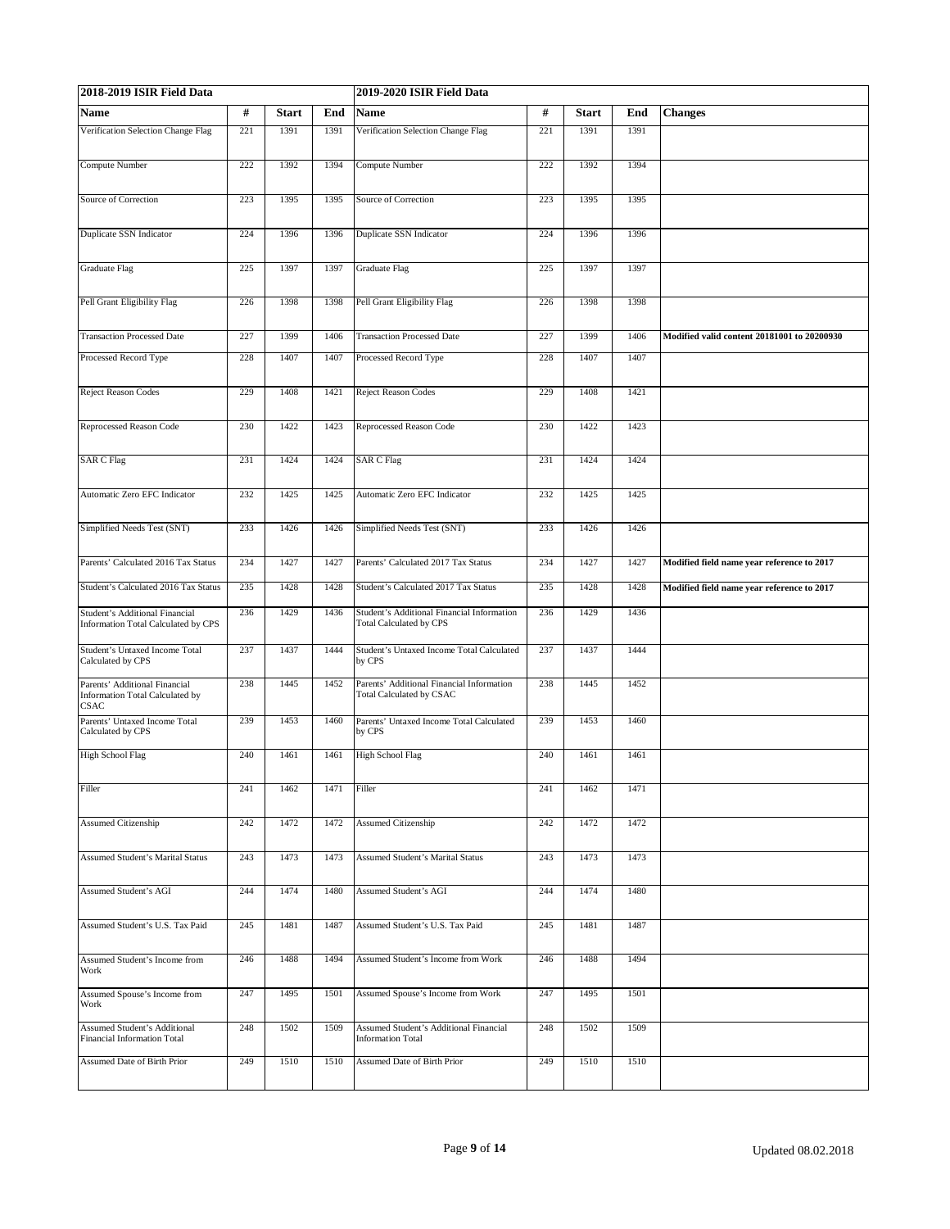| 2018-2019 ISIR Field Data                                                       |     |              | 2019-2020 ISIR Field Data |                                                                              |     |              |      |                                             |
|---------------------------------------------------------------------------------|-----|--------------|---------------------------|------------------------------------------------------------------------------|-----|--------------|------|---------------------------------------------|
| Name                                                                            | #   | <b>Start</b> | End                       | <b>Name</b>                                                                  | #   | <b>Start</b> | End  | <b>Changes</b>                              |
| Verification Selection Change Flag                                              | 221 | 1391         | 1391                      | Verification Selection Change Flag                                           | 221 | 1391         | 1391 |                                             |
| Compute Number                                                                  | 222 | 1392         | 1394                      | Compute Number                                                               | 222 | 1392         | 1394 |                                             |
| Source of Correction                                                            | 223 | 1395         | 1395                      | Source of Correction                                                         | 223 | 1395         | 1395 |                                             |
| Duplicate SSN Indicator                                                         | 224 | 1396         | 1396                      | Duplicate SSN Indicator                                                      | 224 | 1396         | 1396 |                                             |
| <b>Graduate Flag</b>                                                            | 225 | 1397         | 1397                      | <b>Graduate Flag</b>                                                         | 225 | 1397         | 1397 |                                             |
| Pell Grant Eligibility Flag                                                     | 226 | 1398         | 1398                      | Pell Grant Eligibility Flag                                                  | 226 | 1398         | 1398 |                                             |
| <b>Transaction Processed Date</b>                                               | 227 | 1399         | 1406                      | <b>Transaction Processed Date</b>                                            | 227 | 1399         | 1406 | Modified valid content 20181001 to 20200930 |
| Processed Record Type                                                           | 228 | 1407         | 1407                      | Processed Record Type                                                        | 228 | 1407         | 1407 |                                             |
| Reject Reason Codes                                                             | 229 | 1408         | 1421                      | <b>Reject Reason Codes</b>                                                   | 229 | 1408         | 1421 |                                             |
| Reprocessed Reason Code                                                         | 230 | 1422         | 1423                      | Reprocessed Reason Code                                                      | 230 | 1422         | 1423 |                                             |
| <b>SAR C Flag</b>                                                               | 231 | 1424         | 1424                      | <b>SAR C Flag</b>                                                            | 231 | 1424         | 1424 |                                             |
| Automatic Zero EFC Indicator                                                    | 232 | 1425         | 1425                      | Automatic Zero EFC Indicator                                                 | 232 | 1425         | 1425 |                                             |
| Simplified Needs Test (SNT)                                                     | 233 | 1426         | 1426                      | Simplified Needs Test (SNT)                                                  | 233 | 1426         | 1426 |                                             |
| Parents' Calculated 2016 Tax Status                                             | 234 | 1427         | 1427                      | Parents' Calculated 2017 Tax Status                                          | 234 | 1427         | 1427 | Modified field name year reference to 2017  |
| Student's Calculated 2016 Tax Status                                            | 235 | 1428         | 1428                      | Student's Calculated 2017 Tax Status                                         | 235 | 1428         | 1428 | Modified field name year reference to 2017  |
| Student's Additional Financial<br>Information Total Calculated by CPS           | 236 | 1429         | 1436                      | Student's Additional Financial Information<br><b>Total Calculated by CPS</b> | 236 | 1429         | 1436 |                                             |
| Student's Untaxed Income Total<br>Calculated by CPS                             | 237 | 1437         | 1444                      | Student's Untaxed Income Total Calculated<br>by CPS                          | 237 | 1437         | 1444 |                                             |
| Parents' Additional Financial<br>Information Total Calculated by<br><b>CSAC</b> | 238 | 1445         | 1452                      | Parents' Additional Financial Information<br><b>Total Calculated by CSAC</b> | 238 | 1445         | 1452 |                                             |
| Parents' Untaxed Income Total<br>Calculated by CPS                              | 239 | 1453         | 1460                      | Parents' Untaxed Income Total Calculated<br>by CPS                           | 239 | 1453         | 1460 |                                             |
| <b>High School Flag</b>                                                         | 240 | 1461         | 1461                      | <b>High School Flag</b>                                                      | 240 | 1461         | 1461 |                                             |
| Filler                                                                          | 241 | 1462         | 1471                      | Filler                                                                       | 241 | 1462         | 1471 |                                             |
| Assumed Citizenship                                                             | 242 | 1472         | 1472                      | <b>Assumed Citizenship</b>                                                   | 242 | 1472         | 1472 |                                             |
| <b>Assumed Student's Marital Status</b>                                         | 243 | 1473         | 1473                      | <b>Assumed Student's Marital Status</b>                                      | 243 | 1473         | 1473 |                                             |
| Assumed Student's AGI                                                           | 244 | 1474         | 1480                      | Assumed Student's AGI                                                        | 244 | 1474         | 1480 |                                             |
| Assumed Student's U.S. Tax Paid                                                 | 245 | 1481         | 1487                      | Assumed Student's U.S. Tax Paid                                              | 245 | 1481         | 1487 |                                             |
| Assumed Student's Income from<br>Work                                           | 246 | 1488         | 1494                      | Assumed Student's Income from Work                                           | 246 | 1488         | 1494 |                                             |
| Assumed Spouse's Income from<br>Work                                            | 247 | 1495         | 1501                      | Assumed Spouse's Income from Work                                            | 247 | 1495         | 1501 |                                             |
| Assumed Student's Additional<br><b>Financial Information Total</b>              | 248 | 1502         | 1509                      | <b>Assumed Student's Additional Financial</b><br><b>Information Total</b>    | 248 | 1502         | 1509 |                                             |
| Assumed Date of Birth Prior                                                     | 249 | 1510         | 1510                      | Assumed Date of Birth Prior                                                  | 249 | 1510         | 1510 |                                             |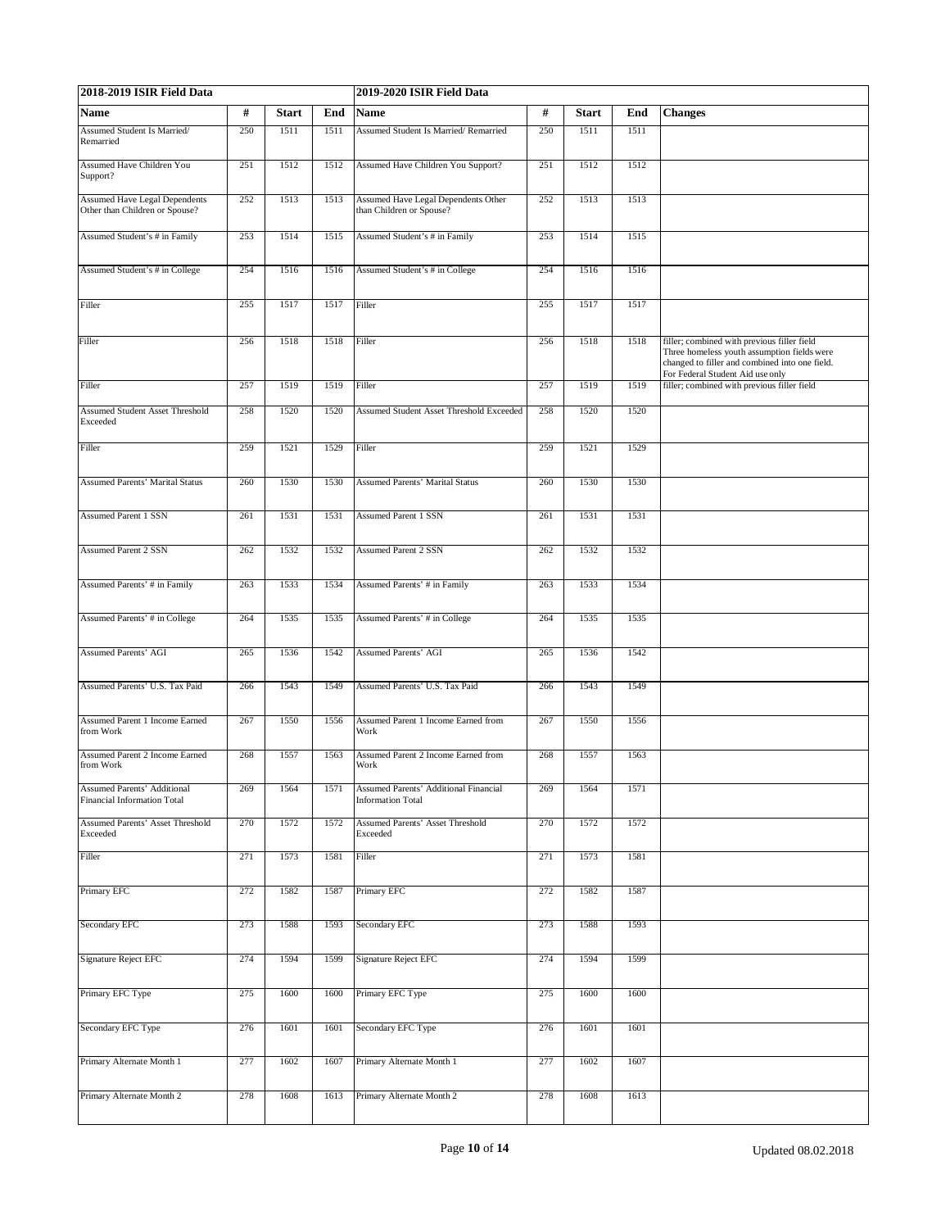| 2018-2019 ISIR Field Data                                              |     |              |      | 2019-2020 ISIR Field Data                                         |      |              |      |                                                                                                                                                                                  |
|------------------------------------------------------------------------|-----|--------------|------|-------------------------------------------------------------------|------|--------------|------|----------------------------------------------------------------------------------------------------------------------------------------------------------------------------------|
| Name                                                                   | #   | <b>Start</b> | End  | Name                                                              | $\#$ | <b>Start</b> | End  | <b>Changes</b>                                                                                                                                                                   |
| Assumed Student Is Married/<br>Remarried                               | 250 | 1511         | 1511 | Assumed Student Is Married/Remarried                              | 250  | 1511         | 1511 |                                                                                                                                                                                  |
| Assumed Have Children You<br>Support?                                  | 251 | 1512         | 1512 | Assumed Have Children You Support?                                | 251  | 1512         | 1512 |                                                                                                                                                                                  |
| <b>Assumed Have Legal Dependents</b><br>Other than Children or Spouse? | 252 | 1513         | 1513 | Assumed Have Legal Dependents Other<br>than Children or Spouse?   | 252  | 1513         | 1513 |                                                                                                                                                                                  |
| Assumed Student's # in Family                                          | 253 | 1514         | 1515 | Assumed Student's # in Family                                     | 253  | 1514         | 1515 |                                                                                                                                                                                  |
| Assumed Student's # in College                                         | 254 | 1516         | 1516 | Assumed Student's # in College                                    | 254  | 1516         | 1516 |                                                                                                                                                                                  |
| Filler                                                                 | 255 | 1517         | 1517 | Filler                                                            | 255  | 1517         | 1517 |                                                                                                                                                                                  |
| Filler                                                                 | 256 | 1518         | 1518 | Filler                                                            | 256  | 1518         | 1518 | filler; combined with previous filler field<br>Three homeless youth assumption fields were<br>changed to filler and combined into one field.<br>For Federal Student Aid use only |
| Filler                                                                 | 257 | 1519         | 1519 | Filler                                                            | 257  | 1519         | 1519 | filler; combined with previous filler field                                                                                                                                      |
| <b>Assumed Student Asset Threshold</b><br>Exceeded                     | 258 | 1520         | 1520 | Assumed Student Asset Threshold Exceeded                          | 258  | 1520         | 1520 |                                                                                                                                                                                  |
| Filler                                                                 | 259 | 1521         | 1529 | Filler                                                            | 259  | 1521         | 1529 |                                                                                                                                                                                  |
| <b>Assumed Parents' Marital Status</b>                                 | 260 | 1530         | 1530 | <b>Assumed Parents' Marital Status</b>                            | 260  | 1530         | 1530 |                                                                                                                                                                                  |
| <b>Assumed Parent 1 SSN</b>                                            | 261 | 1531         | 1531 | <b>Assumed Parent 1 SSN</b>                                       | 261  | 1531         | 1531 |                                                                                                                                                                                  |
| <b>Assumed Parent 2 SSN</b>                                            | 262 | 1532         | 1532 | <b>Assumed Parent 2 SSN</b>                                       | 262  | 1532         | 1532 |                                                                                                                                                                                  |
| Assumed Parents' # in Family                                           | 263 | 1533         | 1534 | Assumed Parents' # in Family                                      | 263  | 1533         | 1534 |                                                                                                                                                                                  |
| Assumed Parents' # in College                                          | 264 | 1535         | 1535 | Assumed Parents' # in College                                     | 264  | 1535         | 1535 |                                                                                                                                                                                  |
| <b>Assumed Parents' AGI</b>                                            | 265 | 1536         | 1542 | <b>Assumed Parents' AGI</b>                                       | 265  | 1536         | 1542 |                                                                                                                                                                                  |
| Assumed Parents' U.S. Tax Paid                                         | 266 | 1543         | 1549 | Assumed Parents' U.S. Tax Paid                                    | 266  | 1543         | 1549 |                                                                                                                                                                                  |
| Assumed Parent 1 Income Earned<br>from Work                            | 267 | 1550         | 1556 | Assumed Parent 1 Income Earned from<br>Work                       | 267  | 1550         | 1556 |                                                                                                                                                                                  |
| <b>Assumed Parent 2 Income Earned</b><br>from Work                     | 268 | 1557         | 1563 | Assumed Parent 2 Income Earned from<br>Work                       | 268  | 1557         | 1563 |                                                                                                                                                                                  |
| Assumed Parents' Additional<br><b>Financial Information Total</b>      | 269 | 1564         | 1571 | Assumed Parents' Additional Financial<br><b>Information Total</b> | 269  | 1564         | 1571 |                                                                                                                                                                                  |
| Assumed Parents' Asset Threshold<br>Exceeded                           | 270 | 1572         | 1572 | <b>Assumed Parents' Asset Threshold</b><br>Exceeded               | 270  | 1572         | 1572 |                                                                                                                                                                                  |
| Filler                                                                 | 271 | 1573         | 1581 | Filler                                                            | 271  | 1573         | 1581 |                                                                                                                                                                                  |
| Primary EFC                                                            | 272 | 1582         | 1587 | Primary EFC                                                       | 272  | 1582         | 1587 |                                                                                                                                                                                  |
| Secondary EFC                                                          | 273 | 1588         | 1593 | Secondary EFC                                                     | 273  | 1588         | 1593 |                                                                                                                                                                                  |
| Signature Reject EFC                                                   | 274 | 1594         | 1599 | Signature Reject EFC                                              | 274  | 1594         | 1599 |                                                                                                                                                                                  |
| Primary EFC Type                                                       | 275 | 1600         | 1600 | Primary EFC Type                                                  | 275  | 1600         | 1600 |                                                                                                                                                                                  |
| Secondary EFC Type                                                     | 276 | 1601         | 1601 | Secondary EFC Type                                                | 276  | 1601         | 1601 |                                                                                                                                                                                  |
| Primary Alternate Month 1                                              | 277 | 1602         | 1607 | Primary Alternate Month 1                                         | 277  | 1602         | 1607 |                                                                                                                                                                                  |
| Primary Alternate Month 2                                              | 278 | 1608         | 1613 | Primary Alternate Month 2                                         | 278  | 1608         | 1613 |                                                                                                                                                                                  |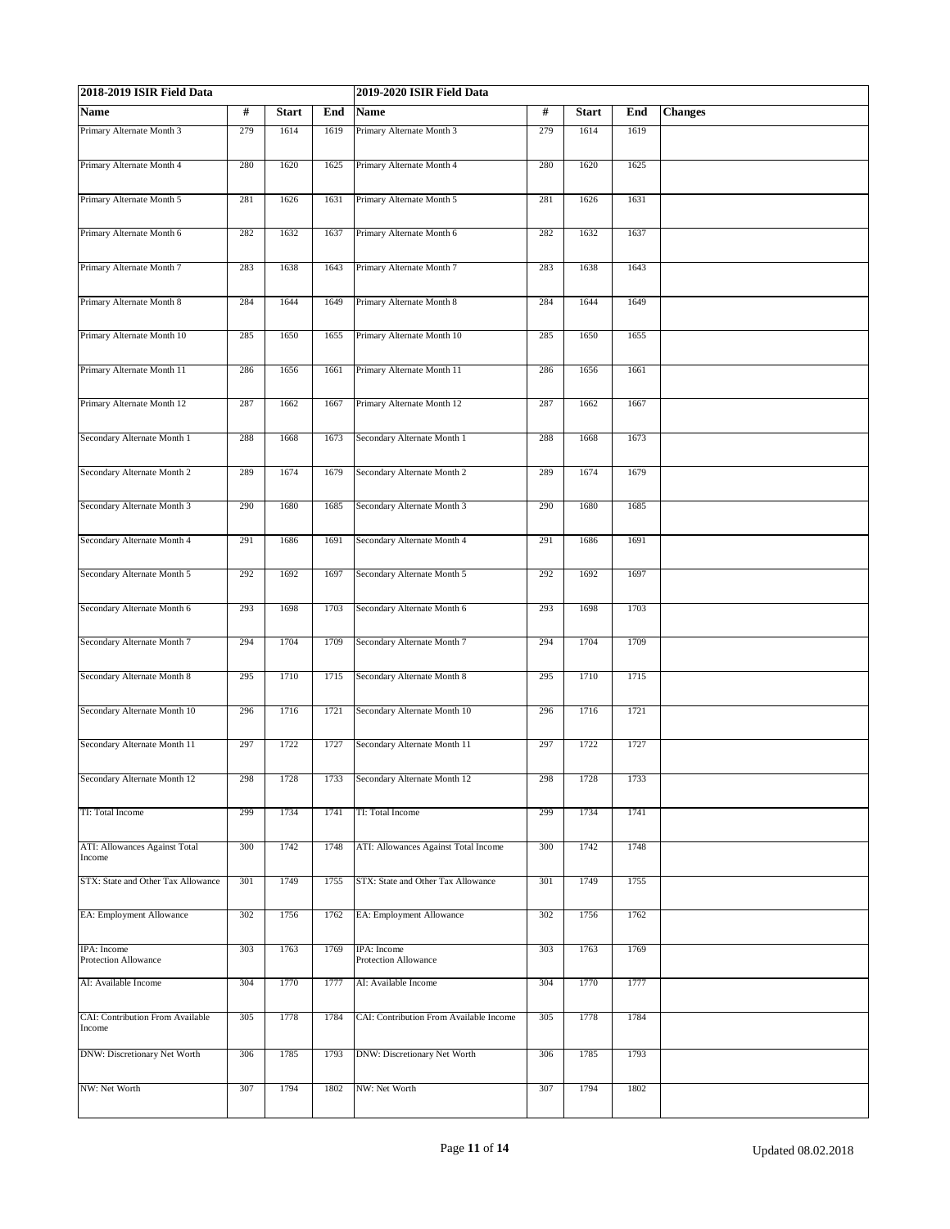| 2018-2019 ISIR Field Data                  |     |              |      | 2019-2020 ISIR Field Data               | #<br><b>Start</b><br><b>Changes</b><br>End<br>1614<br>1619<br>279<br>280<br>1620<br>1625<br>281<br>1626<br>1631<br>282<br>1632<br>1637<br>283<br>1638<br>1643<br>284<br>1644<br>1649 |      |      |  |  |  |
|--------------------------------------------|-----|--------------|------|-----------------------------------------|--------------------------------------------------------------------------------------------------------------------------------------------------------------------------------------|------|------|--|--|--|
| Name                                       | #   | <b>Start</b> | End  | Name                                    |                                                                                                                                                                                      |      |      |  |  |  |
| Primary Alternate Month 3                  | 279 | 1614         | 1619 | Primary Alternate Month 3               |                                                                                                                                                                                      |      |      |  |  |  |
| Primary Alternate Month 4                  | 280 | 1620         | 1625 | Primary Alternate Month 4               |                                                                                                                                                                                      |      |      |  |  |  |
| Primary Alternate Month 5                  | 281 | 1626         | 1631 | Primary Alternate Month 5               |                                                                                                                                                                                      |      |      |  |  |  |
| Primary Alternate Month 6                  | 282 | 1632         | 1637 | Primary Alternate Month 6               |                                                                                                                                                                                      |      |      |  |  |  |
| Primary Alternate Month 7                  | 283 | 1638         | 1643 | Primary Alternate Month 7               |                                                                                                                                                                                      |      |      |  |  |  |
| Primary Alternate Month 8                  | 284 | 1644         | 1649 | Primary Alternate Month 8               |                                                                                                                                                                                      |      |      |  |  |  |
| Primary Alternate Month 10                 | 285 | 1650         | 1655 | Primary Alternate Month 10              | 285                                                                                                                                                                                  | 1650 | 1655 |  |  |  |
| Primary Alternate Month 11                 | 286 | 1656         | 1661 | Primary Alternate Month 11              | 286                                                                                                                                                                                  | 1656 | 1661 |  |  |  |
| Primary Alternate Month 12                 | 287 | 1662         | 1667 | Primary Alternate Month 12              | 287                                                                                                                                                                                  | 1662 | 1667 |  |  |  |
| Secondary Alternate Month 1                | 288 | 1668         | 1673 | Secondary Alternate Month 1             | 288                                                                                                                                                                                  | 1668 | 1673 |  |  |  |
| Secondary Alternate Month 2                | 289 | 1674         | 1679 | Secondary Alternate Month 2             | 289                                                                                                                                                                                  | 1674 | 1679 |  |  |  |
| Secondary Alternate Month 3                | 290 | 1680         | 1685 | Secondary Alternate Month 3             | 290                                                                                                                                                                                  | 1680 | 1685 |  |  |  |
| Secondary Alternate Month 4                | 291 | 1686         | 1691 | Secondary Alternate Month 4             | 291                                                                                                                                                                                  | 1686 | 1691 |  |  |  |
| Secondary Alternate Month 5                | 292 | 1692         | 1697 | Secondary Alternate Month 5             | 292                                                                                                                                                                                  | 1692 | 1697 |  |  |  |
| Secondary Alternate Month 6                | 293 | 1698         | 1703 | Secondary Alternate Month 6             | 293                                                                                                                                                                                  | 1698 | 1703 |  |  |  |
| Secondary Alternate Month 7                | 294 | 1704         | 1709 | Secondary Alternate Month 7             | 294                                                                                                                                                                                  | 1704 | 1709 |  |  |  |
| Secondary Alternate Month 8                | 295 | 1710         | 1715 | Secondary Alternate Month 8             | 295                                                                                                                                                                                  | 1710 | 1715 |  |  |  |
| Secondary Alternate Month 10               | 296 | 1716         | 1721 | Secondary Alternate Month 10            | 296                                                                                                                                                                                  | 1716 | 1721 |  |  |  |
| Secondary Alternate Month 11               | 297 | 1722         | 1727 | Secondary Alternate Month 11            | 297                                                                                                                                                                                  | 1722 | 1727 |  |  |  |
| Secondary Alternate Month 12               | 298 | 1728         |      | 1733 Secondary Alternate Month 12       | 298                                                                                                                                                                                  | 1728 | 1733 |  |  |  |
| TI: Total Income                           | 299 | 1734         | 1741 | TI: Total Income                        | 299                                                                                                                                                                                  | 1734 | 1741 |  |  |  |
| ATI: Allowances Against Total<br>Income    | 300 | 1742         | 1748 | ATI: Allowances Against Total Income    | 300                                                                                                                                                                                  | 1742 | 1748 |  |  |  |
| STX: State and Other Tax Allowance         | 301 | 1749         | 1755 | STX: State and Other Tax Allowance      | 301                                                                                                                                                                                  | 1749 | 1755 |  |  |  |
| EA: Employment Allowance                   | 302 | 1756         | 1762 | EA: Employment Allowance                | 302                                                                                                                                                                                  | 1756 | 1762 |  |  |  |
| IPA: Income<br>Protection Allowance        | 303 | 1763         | 1769 | IPA: Income<br>Protection Allowance     | 303                                                                                                                                                                                  | 1763 | 1769 |  |  |  |
| AI: Available Income                       | 304 | 1770         | 1777 | AI: Available Income                    | 304                                                                                                                                                                                  | 1770 | 1777 |  |  |  |
| CAI: Contribution From Available<br>Income | 305 | 1778         | 1784 | CAI: Contribution From Available Income | 305                                                                                                                                                                                  | 1778 | 1784 |  |  |  |
| DNW: Discretionary Net Worth               | 306 | 1785         | 1793 | DNW: Discretionary Net Worth            | 306                                                                                                                                                                                  | 1785 | 1793 |  |  |  |
| NW: Net Worth                              | 307 | 1794         | 1802 | NW: Net Worth                           | 307                                                                                                                                                                                  | 1794 | 1802 |  |  |  |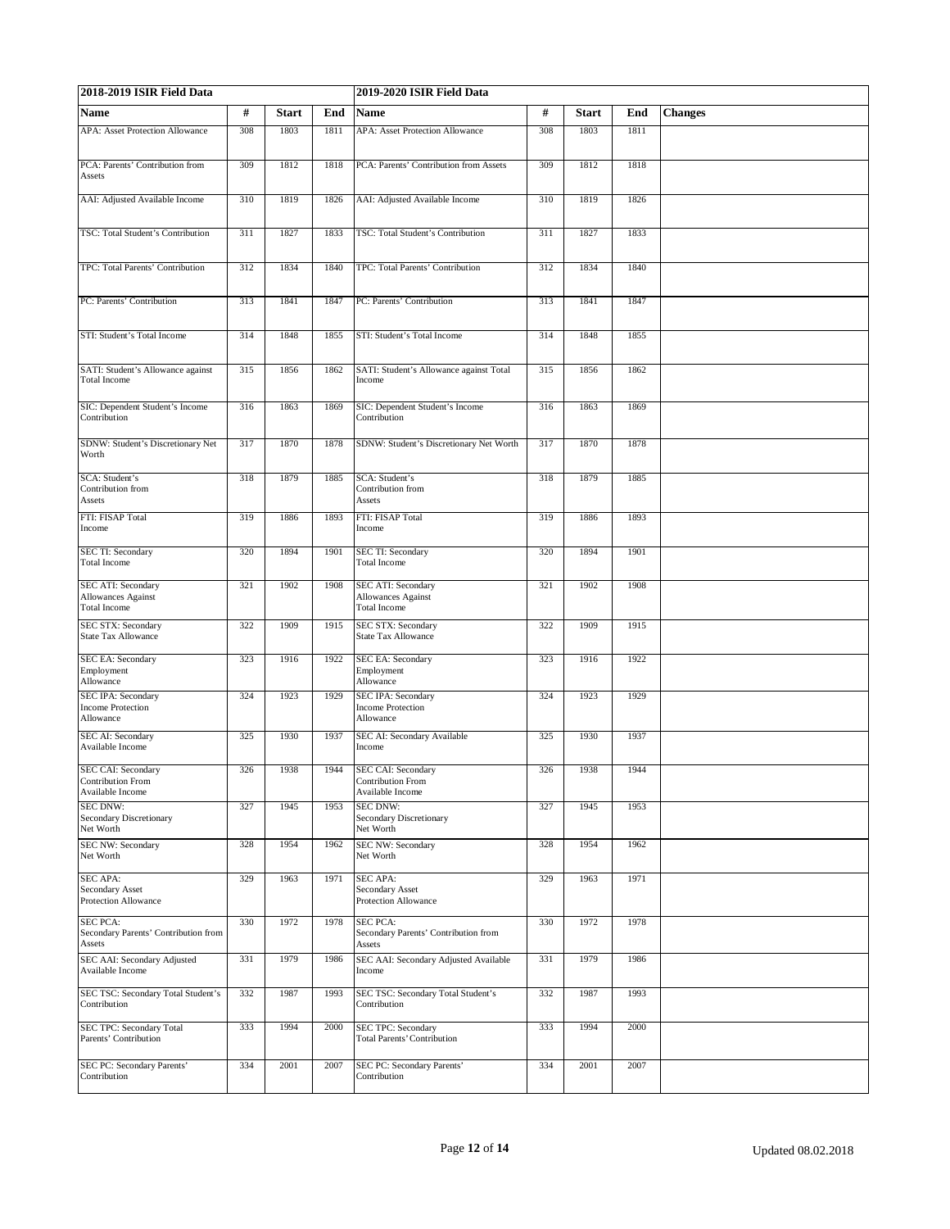| 2018-2019 ISIR Field Data                                                     |     |              | 2019-2020 ISIR Field Data |                                                                               |     |              |      |                |
|-------------------------------------------------------------------------------|-----|--------------|---------------------------|-------------------------------------------------------------------------------|-----|--------------|------|----------------|
| <b>Name</b>                                                                   | #   | <b>Start</b> | End                       | <b>Name</b>                                                                   | #   | <b>Start</b> | End  | <b>Changes</b> |
| <b>APA:</b> Asset Protection Allowance                                        | 308 | 1803         | 1811                      | <b>APA: Asset Protection Allowance</b>                                        | 308 | 1803         | 1811 |                |
| PCA: Parents' Contribution from                                               | 309 | 1812         | 1818                      | PCA: Parents' Contribution from Assets                                        | 309 | 1812         | 1818 |                |
| Assets                                                                        |     |              |                           |                                                                               |     |              |      |                |
| AAI: Adjusted Available Income                                                | 310 | 1819         | 1826                      | AAI: Adjusted Available Income                                                | 310 | 1819         | 1826 |                |
| TSC: Total Student's Contribution                                             | 311 | 1827         | 1833                      | TSC: Total Student's Contribution                                             | 311 | 1827         | 1833 |                |
| TPC: Total Parents' Contribution                                              | 312 | 1834         | 1840                      | TPC: Total Parents' Contribution                                              | 312 | 1834         | 1840 |                |
| PC: Parents' Contribution                                                     | 313 | 1841         | 1847                      | PC: Parents' Contribution                                                     | 313 | 1841         | 1847 |                |
| STI: Student's Total Income                                                   | 314 | 1848         | 1855                      | STI: Student's Total Income                                                   | 314 | 1848         | 1855 |                |
| SATI: Student's Allowance against<br>Total Income                             | 315 | 1856         | 1862                      | SATI: Student's Allowance against Total<br>Income                             | 315 | 1856         | 1862 |                |
| SIC: Dependent Student's Income<br>Contribution                               | 316 | 1863         | 1869                      | SIC: Dependent Student's Income<br>Contribution                               | 316 | 1863         | 1869 |                |
| SDNW: Student's Discretionary Net<br>Worth                                    | 317 | 1870         | 1878                      | SDNW: Student's Discretionary Net Worth                                       | 317 | 1870         | 1878 |                |
| SCA: Student's<br>Contribution from<br>Assets                                 | 318 | 1879         | 1885                      | SCA: Student's<br>Contribution from<br>Assets                                 | 318 | 1879         | 1885 |                |
| FTI: FISAP Total<br>Income                                                    | 319 | 1886         | 1893                      | FTI: FISAP Total<br>Income                                                    | 319 | 1886         | 1893 |                |
| SEC TI: Secondary<br><b>Total Income</b>                                      | 320 | 1894         | 1901                      | SEC TI: Secondary<br><b>Total Income</b>                                      | 320 | 1894         | 1901 |                |
| <b>SEC ATI: Secondary</b><br><b>Allowances Against</b><br><b>Total Income</b> | 321 | 1902         | 1908                      | <b>SEC ATI: Secondary</b><br><b>Allowances Against</b><br><b>Total Income</b> | 321 | 1902         | 1908 |                |
| SEC STX: Secondary<br><b>State Tax Allowance</b>                              | 322 | 1909         | 1915                      | SEC STX: Secondary<br><b>State Tax Allowance</b>                              | 322 | 1909         | 1915 |                |
| <b>SEC EA: Secondary</b><br>Employment<br>Allowance                           | 323 | 1916         | 1922                      | <b>SEC EA: Secondary</b><br>Employment<br>Allowance                           | 323 | 1916         | 1922 |                |
| SEC IPA: Secondary<br><b>Income Protection</b><br>Allowance                   | 324 | 1923         | 1929                      | <b>SEC IPA: Secondary</b><br><b>Income Protection</b><br>Allowance            | 324 | 1923         | 1929 |                |
| SEC AI: Secondary<br>Available Income                                         | 325 | 1930         | 1937                      | SEC AI: Secondary Available<br>Income                                         | 325 | 1930         | 1937 |                |
| <b>SEC CAI: Secondary</b><br>Contribution From<br>Available Income            | 326 | 1938         | 1944                      | <b>SEC CAI: Secondary</b><br>Contribution From<br>Available Income            | 326 | 1938         | 1944 |                |
| <b>SEC DNW:</b><br><b>Secondary Discretionary</b><br>Net Worth                | 327 | 1945         | 1953                      | <b>SEC DNW:</b><br><b>Secondary Discretionary</b><br>Net Worth                | 327 | 1945         | 1953 |                |
| <b>SEC NW: Secondary</b><br>Net Worth                                         | 328 | 1954         | 1962                      | SEC NW: Secondary<br>Net Worth                                                | 328 | 1954         | 1962 |                |
| <b>SEC APA:</b><br>Secondary Asset<br><b>Protection Allowance</b>             | 329 | 1963         | 1971                      | SEC APA:<br>Secondary Asset<br>Protection Allowance                           | 329 | 1963         | 1971 |                |
| <b>SEC PCA:</b><br>Secondary Parents' Contribution from<br>Assets             | 330 | 1972         | 1978                      | <b>SEC PCA:</b><br>Secondary Parents' Contribution from<br>Assets             | 330 | 1972         | 1978 |                |
| SEC AAI: Secondary Adjusted<br>Available Income                               | 331 | 1979         | 1986                      | SEC AAI: Secondary Adjusted Available<br>Income                               | 331 | 1979         | 1986 |                |
| SEC TSC: Secondary Total Student's<br>Contribution                            | 332 | 1987         | 1993                      | SEC TSC: Secondary Total Student's<br>Contribution                            | 332 | 1987         | 1993 |                |
| SEC TPC: Secondary Total<br>Parents' Contribution                             | 333 | 1994         | 2000                      | <b>SEC TPC: Secondary</b><br><b>Total Parents' Contribution</b>               | 333 | 1994         | 2000 |                |
| SEC PC: Secondary Parents'<br>Contribution                                    | 334 | 2001         | 2007                      | SEC PC: Secondary Parents'<br>Contribution                                    | 334 | 2001         | 2007 |                |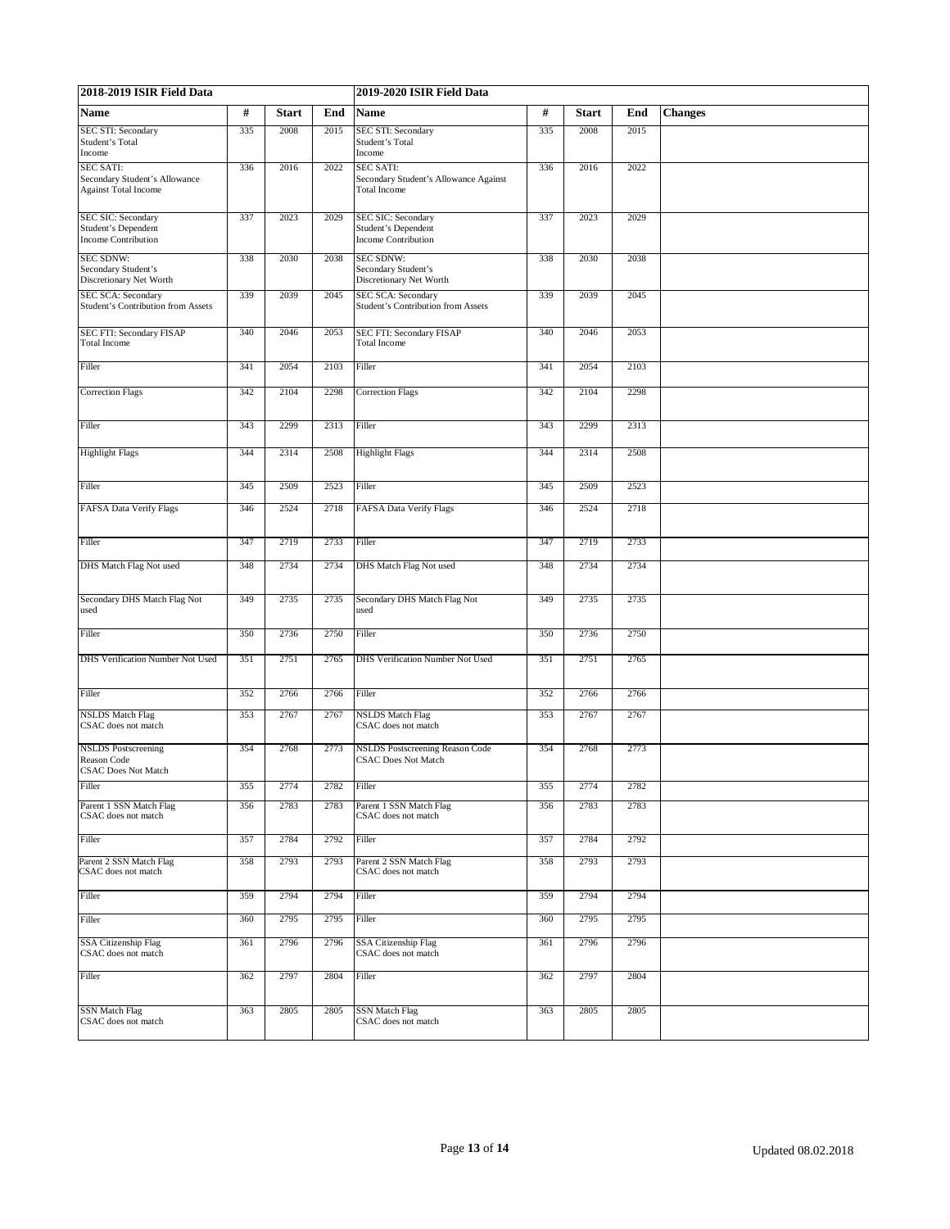| 2018-2019 ISIR Field Data                                                        |     |              |      | 2019-2020 ISIR Field Data                                                        |     |              |      |                |  |
|----------------------------------------------------------------------------------|-----|--------------|------|----------------------------------------------------------------------------------|-----|--------------|------|----------------|--|
| Name                                                                             | #   | <b>Start</b> | End  | <b>Name</b>                                                                      | #   | <b>Start</b> | End  | <b>Changes</b> |  |
| SEC STI: Secondary<br>Student's Total<br>Income                                  | 335 | 2008         | 2015 | <b>SEC STI: Secondary</b><br>Student's Total<br>Income                           | 335 | 2008         | 2015 |                |  |
| <b>SEC SATI:</b><br>Secondary Student's Allowance<br><b>Against Total Income</b> | 336 | 2016         | 2022 | <b>SEC SATI:</b><br>Secondary Student's Allowance Against<br><b>Total Income</b> | 336 | 2016         | 2022 |                |  |
| SEC SIC: Secondary<br>Student's Dependent<br><b>Income Contribution</b>          | 337 | 2023         | 2029 | <b>SEC SIC: Secondary</b><br><b>Student's Dependent</b><br>Income Contribution   | 337 | 2023         | 2029 |                |  |
| <b>SEC SDNW:</b><br>Secondary Student's<br>Discretionary Net Worth               | 338 | 2030         | 2038 | <b>SEC SDNW:</b><br>Secondary Student's<br>Discretionary Net Worth               | 338 | 2030         | 2038 |                |  |
| SEC SCA: Secondary<br>Student's Contribution from Assets                         | 339 | 2039         | 2045 | SEC SCA: Secondary<br><b>Student's Contribution from Assets</b>                  | 339 | 2039         | 2045 |                |  |
| SEC FTI: Secondary FISAP<br>Total Income                                         | 340 | 2046         | 2053 | SEC FTI: Secondary FISAP<br><b>Total Income</b>                                  | 340 | 2046         | 2053 |                |  |
| Filler                                                                           | 341 | 2054         | 2103 | Filler                                                                           | 341 | 2054         | 2103 |                |  |
| <b>Correction Flags</b>                                                          | 342 | 2104         | 2298 | <b>Correction Flags</b>                                                          | 342 | 2104         | 2298 |                |  |
| Filler                                                                           | 343 | 2299         | 2313 | Filler                                                                           | 343 | 2299         | 2313 |                |  |
| <b>Highlight Flags</b>                                                           | 344 | 2314         | 2508 | <b>Highlight Flags</b>                                                           | 344 | 2314         | 2508 |                |  |
| Filler                                                                           | 345 | 2509         | 2523 | Filler                                                                           | 345 | 2509         | 2523 |                |  |
| <b>FAFSA Data Verify Flags</b>                                                   | 346 | 2524         | 2718 | FAFSA Data Verify Flags                                                          | 346 | 2524         | 2718 |                |  |
| Filler                                                                           | 347 | 2719         | 2733 | Filler                                                                           | 347 | 2719         | 2733 |                |  |
| DHS Match Flag Not used                                                          | 348 | 2734         | 2734 | DHS Match Flag Not used                                                          | 348 | 2734         | 2734 |                |  |
| Secondary DHS Match Flag Not<br>used                                             | 349 | 2735         | 2735 | Secondary DHS Match Flag Not<br>used                                             | 349 | 2735         | 2735 |                |  |
| Filler                                                                           | 350 | 2736         | 2750 | Filler                                                                           | 350 | 2736         | 2750 |                |  |
| DHS Verification Number Not Used                                                 | 351 | 2751         | 2765 | DHS Verification Number Not Used                                                 | 351 | 2751         | 2765 |                |  |
| Filler                                                                           | 352 | 2766         | 2766 | Filler                                                                           | 352 | 2766         | 2766 |                |  |
| <b>NSLDS</b> Match Flag<br>CSAC does not match                                   | 353 | 2767         | 2767 | <b>NSLDS</b> Match Flag<br>CSAC does not match                                   | 353 | 2767         | 2767 |                |  |
| <b>NSLDS</b> Postscreening<br>Reason Code<br><b>CSAC Does Not Match</b>          | 354 | 2768         | 2773 | <b>NSLDS</b> Postscreening Reason Code<br><b>CSAC Does Not Match</b>             | 354 | 2768         | 2773 |                |  |
| Filler                                                                           | 355 | 2774         | 2782 | Filler                                                                           | 355 | 2774         | 2782 |                |  |
| Parent 1 SSN Match Flag<br>CSAC does not match                                   | 356 | 2783         | 2783 | Parent 1 SSN Match Flag<br>CSAC does not match                                   | 356 | 2783         | 2783 |                |  |
| Filler                                                                           | 357 | 2784         | 2792 | Filler                                                                           | 357 | 2784         | 2792 |                |  |
| Parent 2 SSN Match Flag<br>CSAC does not match                                   | 358 | 2793         | 2793 | Parent 2 SSN Match Flag<br>CSAC does not match                                   | 358 | 2793         | 2793 |                |  |
| Filler                                                                           | 359 | 2794         | 2794 | Filler                                                                           | 359 | 2794         | 2794 |                |  |
| Filler                                                                           | 360 | 2795         | 2795 | Filler                                                                           | 360 | 2795         | 2795 |                |  |
| <b>SSA Citizenship Flag</b><br>CSAC does not match                               | 361 | 2796         | 2796 | SSA Citizenship Flag<br>CSAC does not match                                      | 361 | 2796         | 2796 |                |  |
| Filler                                                                           | 362 | 2797         | 2804 | Filler                                                                           | 362 | 2797         | 2804 |                |  |
| <b>SSN</b> Match Flag<br>CSAC does not match                                     | 363 | 2805         | 2805 | <b>SSN Match Flag</b><br>CSAC does not match                                     | 363 | 2805         | 2805 |                |  |